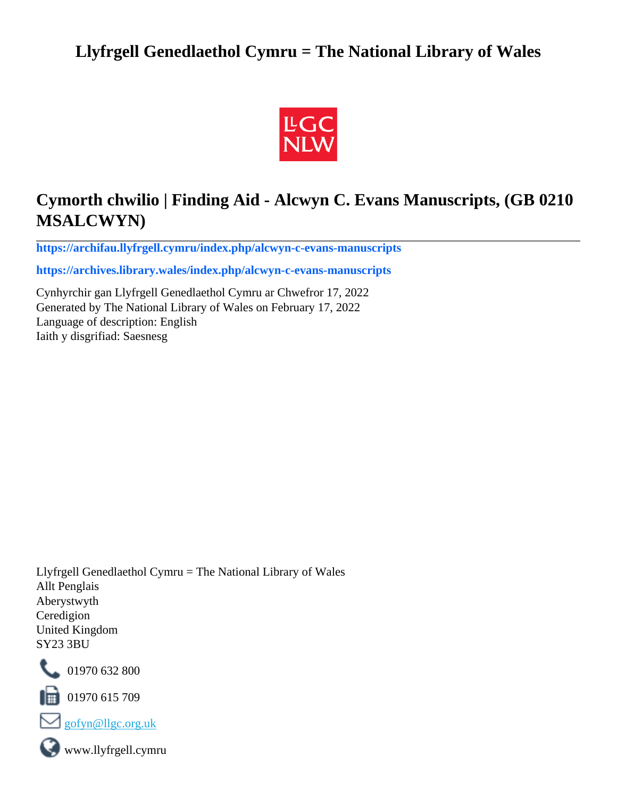## **Llyfrgell Genedlaethol Cymru = The National Library of Wales**



# **Cymorth chwilio | Finding Aid - Alcwyn C. Evans Manuscripts, (GB 0210 MSALCWYN)**

**[https://archifau.llyfrgell.cymru/index.php/alcwyn-c-evans-manuscripts](https://archifau.llyfrgell.cymru/index.php/alcwyn-c-evans-manuscripts;isad?sf_culture=cy)**

**[https://archives.library.wales/index.php/alcwyn-c-evans-manuscripts](https://archives.library.wales/index.php/alcwyn-c-evans-manuscripts;isad?sf_culture=en)**

Cynhyrchir gan Llyfrgell Genedlaethol Cymru ar Chwefror 17, 2022 Generated by The National Library of Wales on February 17, 2022 Language of description: English Iaith y disgrifiad: Saesnesg

Llyfrgell Genedlaethol Cymru = The National Library of Wales Allt Penglais Aberystwyth Ceredigion United Kingdom SY23 3BU



101970 632 800

 $\blacksquare$  01970 615 709



www.llyfrgell.cymru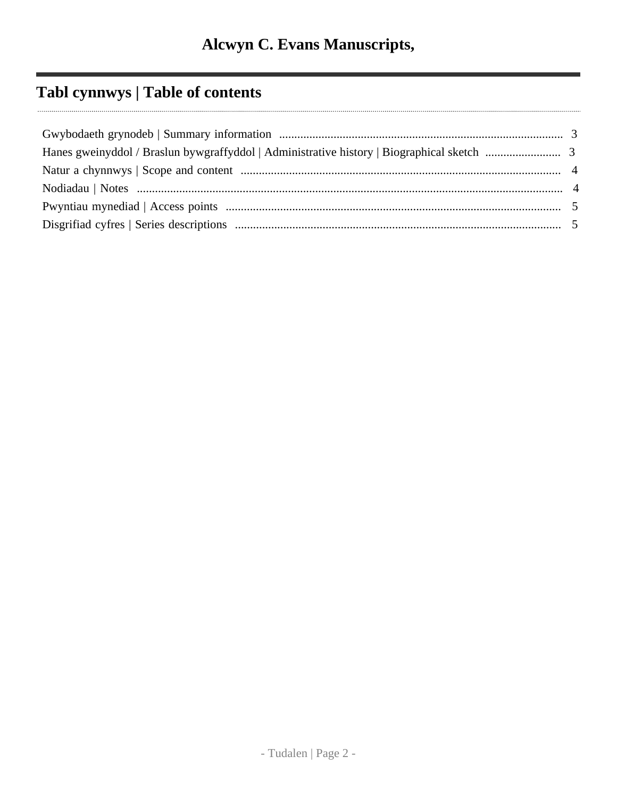# **Tabl cynnwys | Table of contents**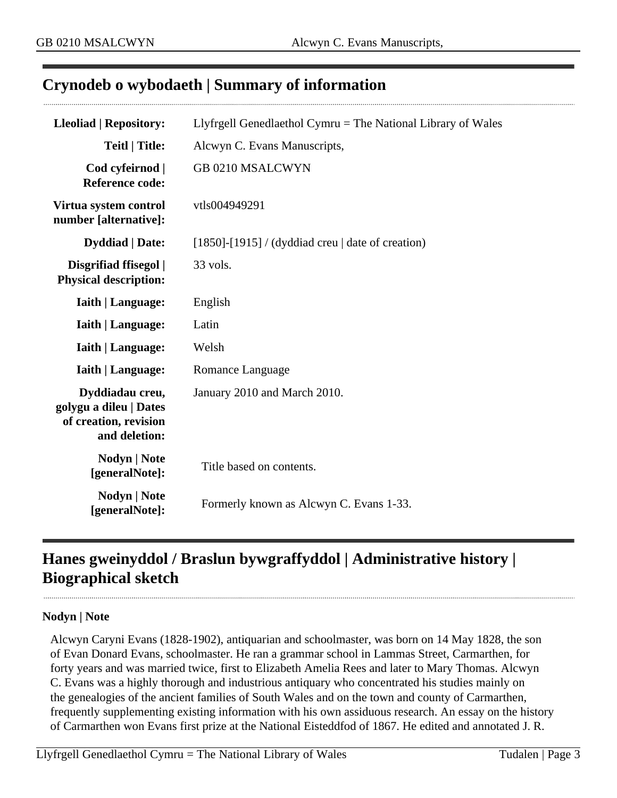### <span id="page-2-0"></span>**Crynodeb o wybodaeth | Summary of information**

| <b>Lleoliad   Repository:</b>                                                       | Llyfrgell Genedlaethol Cymru = The National Library of Wales |  |
|-------------------------------------------------------------------------------------|--------------------------------------------------------------|--|
| <b>Teitl   Title:</b>                                                               | Alcwyn C. Evans Manuscripts,                                 |  |
| Cod cyfeirnod  <br><b>Reference code:</b>                                           | <b>GB 0210 MSALCWYN</b>                                      |  |
| Virtua system control<br>number [alternative]:                                      | vtls004949291                                                |  |
| <b>Dyddiad</b>   Date:                                                              | $[1850]$ - $[1915]$ / (dyddiad creu   date of creation)      |  |
| Disgrifiad ffisegol  <br><b>Physical description:</b>                               | 33 vols.                                                     |  |
| <b>Iaith   Language:</b>                                                            | English                                                      |  |
| <b>Iaith   Language:</b>                                                            | Latin                                                        |  |
| <b>Iaith   Language:</b>                                                            | Welsh                                                        |  |
| <b>Iaith   Language:</b>                                                            | Romance Language                                             |  |
| Dyddiadau creu,<br>golygu a dileu   Dates<br>of creation, revision<br>and deletion: | January 2010 and March 2010.                                 |  |
| Nodyn   Note<br>[generalNote]:                                                      | Title based on contents.                                     |  |
| <b>Nodyn</b>   <b>Note</b><br>[generalNote]:                                        | Formerly known as Alcwyn C. Evans 1-33.                      |  |

## <span id="page-2-1"></span>**Hanes gweinyddol / Braslun bywgraffyddol | Administrative history | Biographical sketch**

#### **Nodyn | Note**

Alcwyn Caryni Evans (1828-1902), antiquarian and schoolmaster, was born on 14 May 1828, the son of Evan Donard Evans, schoolmaster. He ran a grammar school in Lammas Street, Carmarthen, for forty years and was married twice, first to Elizabeth Amelia Rees and later to Mary Thomas. Alcwyn C. Evans was a highly thorough and industrious antiquary who concentrated his studies mainly on the genealogies of the ancient families of South Wales and on the town and county of Carmarthen, frequently supplementing existing information with his own assiduous research. An essay on the history of Carmarthen won Evans first prize at the National Eisteddfod of 1867. He edited and annotated J. R.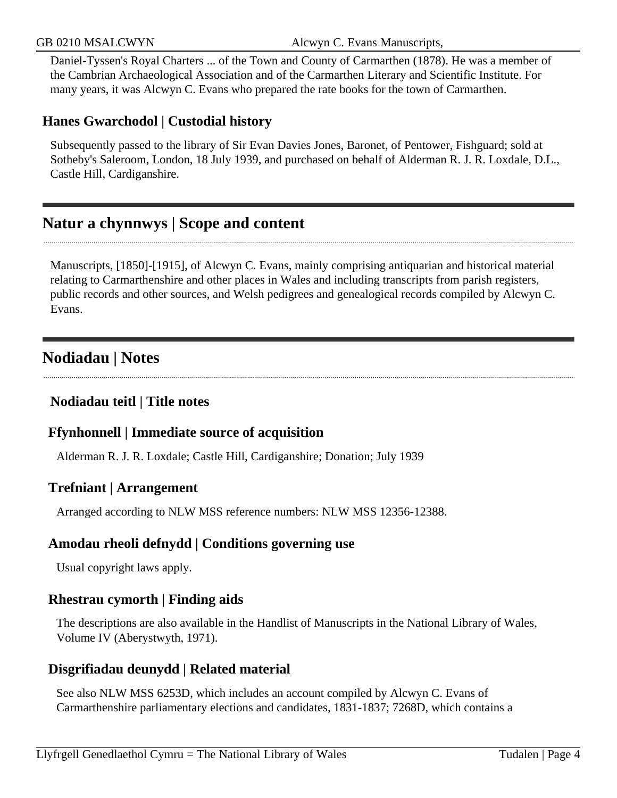Daniel-Tyssen's Royal Charters ... of the Town and County of Carmarthen (1878). He was a member of the Cambrian Archaeological Association and of the Carmarthen Literary and Scientific Institute. For many years, it was Alcwyn C. Evans who prepared the rate books for the town of Carmarthen.

### **Hanes Gwarchodol | Custodial history**

Subsequently passed to the library of Sir Evan Davies Jones, Baronet, of Pentower, Fishguard; sold at Sotheby's Saleroom, London, 18 July 1939, and purchased on behalf of Alderman R. J. R. Loxdale, D.L., Castle Hill, Cardiganshire.

### <span id="page-3-0"></span>**Natur a chynnwys | Scope and content**

Manuscripts, [1850]-[1915], of Alcwyn C. Evans, mainly comprising antiquarian and historical material relating to Carmarthenshire and other places in Wales and including transcripts from parish registers, public records and other sources, and Welsh pedigrees and genealogical records compiled by Alcwyn C. Evans.

### <span id="page-3-1"></span>**Nodiadau | Notes**

### **Nodiadau teitl | Title notes**

### **Ffynhonnell | Immediate source of acquisition**

Alderman R. J. R. Loxdale; Castle Hill, Cardiganshire; Donation; July 1939

#### **Trefniant | Arrangement**

Arranged according to NLW MSS reference numbers: NLW MSS 12356-12388.

### **Amodau rheoli defnydd | Conditions governing use**

Usual copyright laws apply.

### **Rhestrau cymorth | Finding aids**

The descriptions are also available in the Handlist of Manuscripts in the National Library of Wales, Volume IV (Aberystwyth, 1971).

### **Disgrifiadau deunydd | Related material**

See also NLW MSS 6253D, which includes an account compiled by Alcwyn C. Evans of Carmarthenshire parliamentary elections and candidates, 1831-1837; 7268D, which contains a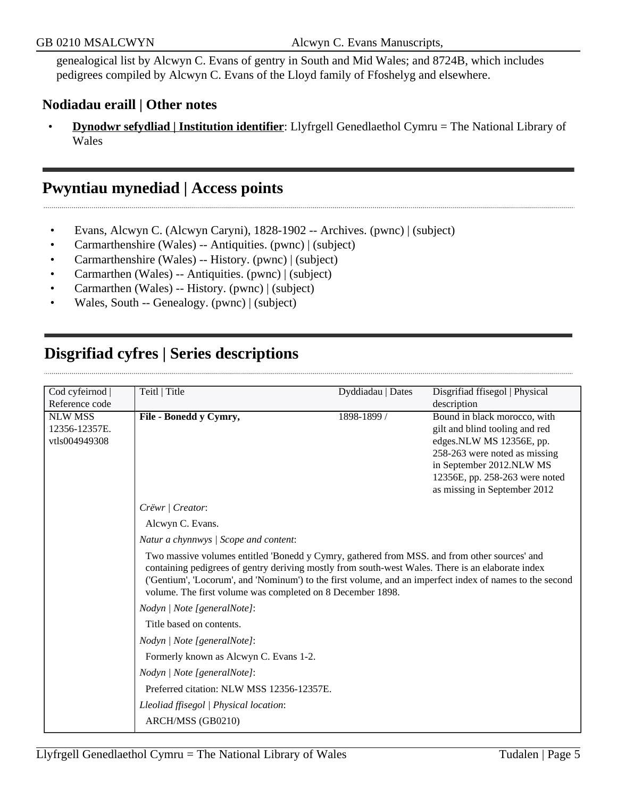genealogical list by Alcwyn C. Evans of gentry in South and Mid Wales; and 8724B, which includes pedigrees compiled by Alcwyn C. Evans of the Lloyd family of Ffoshelyg and elsewhere.

#### **Nodiadau eraill | Other notes**

**<u>Dynodwr sefydliad | Institution identifier</u>:** Llyfrgell Genedlaethol Cymru = The National Library of Wales

## <span id="page-4-0"></span>**Pwyntiau mynediad | Access points**

- Evans, Alcwyn C. (Alcwyn Caryni), 1828-1902 -- Archives. (pwnc) | (subject)
- Carmarthenshire (Wales) -- Antiquities. (pwnc) | (subject)
- Carmarthenshire (Wales) -- History. (pwnc) | (subject)
- Carmarthen (Wales) -- Antiquities. (pwnc) | (subject)
- Carmarthen (Wales) -- History. (pwnc) | (subject)
- Wales, South -- Genealogy. (pwnc) | (subject)

## <span id="page-4-1"></span>**Disgrifiad cyfres | Series descriptions**

|                                   | Teitl   Title                                                                                                                                                                                                                                                                                                                                                               |                   |                                                           |
|-----------------------------------|-----------------------------------------------------------------------------------------------------------------------------------------------------------------------------------------------------------------------------------------------------------------------------------------------------------------------------------------------------------------------------|-------------------|-----------------------------------------------------------|
| Cod cyfeirnod  <br>Reference code |                                                                                                                                                                                                                                                                                                                                                                             | Dyddiadau   Dates | Disgrifiad ffisegol   Physical                            |
|                                   |                                                                                                                                                                                                                                                                                                                                                                             |                   | description                                               |
| <b>NLW MSS</b>                    | File - Bonedd y Cymry,                                                                                                                                                                                                                                                                                                                                                      | 1898-1899 /       | Bound in black morocco, with                              |
| 12356-12357E.                     |                                                                                                                                                                                                                                                                                                                                                                             |                   | gilt and blind tooling and red                            |
| vtls004949308                     |                                                                                                                                                                                                                                                                                                                                                                             |                   | edges.NLW MS 12356E, pp.                                  |
|                                   |                                                                                                                                                                                                                                                                                                                                                                             |                   | 258-263 were noted as missing<br>in September 2012.NLW MS |
|                                   |                                                                                                                                                                                                                                                                                                                                                                             |                   | 12356E, pp. 258-263 were noted                            |
|                                   |                                                                                                                                                                                                                                                                                                                                                                             |                   | as missing in September 2012                              |
|                                   |                                                                                                                                                                                                                                                                                                                                                                             |                   |                                                           |
|                                   | Crëwr   Creator:                                                                                                                                                                                                                                                                                                                                                            |                   |                                                           |
|                                   | Alcwyn C. Evans.                                                                                                                                                                                                                                                                                                                                                            |                   |                                                           |
|                                   | Natur a chynnwys / Scope and content:                                                                                                                                                                                                                                                                                                                                       |                   |                                                           |
|                                   | Two massive volumes entitled 'Bonedd y Cymry, gathered from MSS. and from other sources' and<br>containing pedigrees of gentry deriving mostly from south-west Wales. There is an elaborate index<br>('Gentium', 'Locorum', and 'Nominum') to the first volume, and an imperfect index of names to the second<br>volume. The first volume was completed on 8 December 1898. |                   |                                                           |
|                                   | Nodyn   Note [generalNote]:                                                                                                                                                                                                                                                                                                                                                 |                   |                                                           |
|                                   | Title based on contents.                                                                                                                                                                                                                                                                                                                                                    |                   |                                                           |
|                                   | Nodyn   Note [generalNote]:                                                                                                                                                                                                                                                                                                                                                 |                   |                                                           |
|                                   | Formerly known as Alcwyn C. Evans 1-2.                                                                                                                                                                                                                                                                                                                                      |                   |                                                           |
|                                   | Nodyn   Note [generalNote]:                                                                                                                                                                                                                                                                                                                                                 |                   |                                                           |
|                                   | Preferred citation: NLW MSS 12356-12357E.                                                                                                                                                                                                                                                                                                                                   |                   |                                                           |
|                                   | Lleoliad ffisegol   Physical location:                                                                                                                                                                                                                                                                                                                                      |                   |                                                           |
|                                   | ARCH/MSS (GB0210)                                                                                                                                                                                                                                                                                                                                                           |                   |                                                           |
|                                   |                                                                                                                                                                                                                                                                                                                                                                             |                   |                                                           |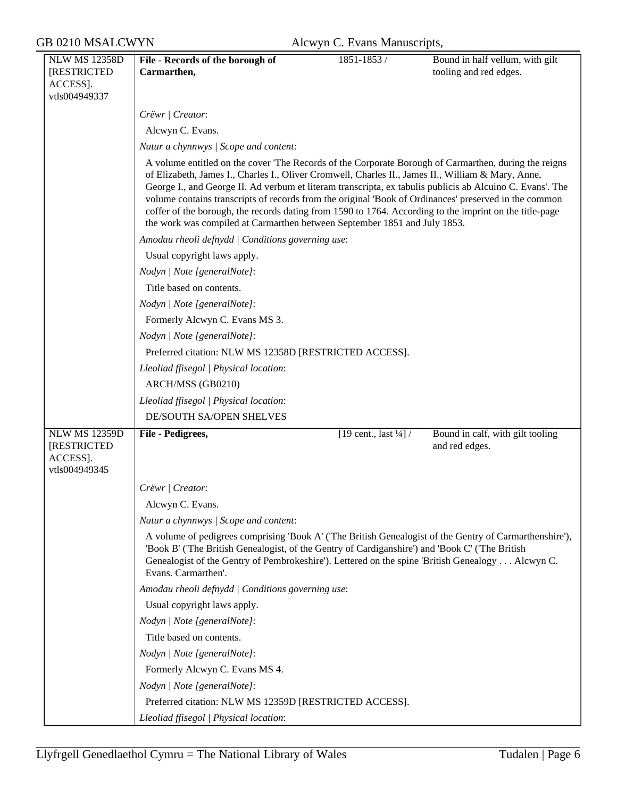| <b>NLW MS 12358D</b>                                   | File - Records of the borough of                                                                                                                                                                                                                                                                                                                                                                                                                                                                                                                                                                                          | 1851-1853 /                       | Bound in half vellum, with gilt                    |
|--------------------------------------------------------|---------------------------------------------------------------------------------------------------------------------------------------------------------------------------------------------------------------------------------------------------------------------------------------------------------------------------------------------------------------------------------------------------------------------------------------------------------------------------------------------------------------------------------------------------------------------------------------------------------------------------|-----------------------------------|----------------------------------------------------|
| <b>[RESTRICTED</b>                                     | Carmarthen,                                                                                                                                                                                                                                                                                                                                                                                                                                                                                                                                                                                                               |                                   | tooling and red edges.                             |
| ACCESS].                                               |                                                                                                                                                                                                                                                                                                                                                                                                                                                                                                                                                                                                                           |                                   |                                                    |
| vtls004949337                                          |                                                                                                                                                                                                                                                                                                                                                                                                                                                                                                                                                                                                                           |                                   |                                                    |
|                                                        | Crëwr   Creator:                                                                                                                                                                                                                                                                                                                                                                                                                                                                                                                                                                                                          |                                   |                                                    |
|                                                        | Alcwyn C. Evans.                                                                                                                                                                                                                                                                                                                                                                                                                                                                                                                                                                                                          |                                   |                                                    |
|                                                        | Natur a chynnwys / Scope and content:                                                                                                                                                                                                                                                                                                                                                                                                                                                                                                                                                                                     |                                   |                                                    |
|                                                        | A volume entitled on the cover 'The Records of the Corporate Borough of Carmarthen, during the reigns<br>of Elizabeth, James I., Charles I., Oliver Cromwell, Charles II., James II., William & Mary, Anne,<br>George I., and George II. Ad verbum et literam transcripta, ex tabulis publicis ab Alcuino C. Evans'. The<br>volume contains transcripts of records from the original 'Book of Ordinances' preserved in the common<br>coffer of the borough, the records dating from 1590 to 1764. According to the imprint on the title-page<br>the work was compiled at Carmarthen between September 1851 and July 1853. |                                   |                                                    |
|                                                        | Amodau rheoli defnydd   Conditions governing use:                                                                                                                                                                                                                                                                                                                                                                                                                                                                                                                                                                         |                                   |                                                    |
|                                                        | Usual copyright laws apply.                                                                                                                                                                                                                                                                                                                                                                                                                                                                                                                                                                                               |                                   |                                                    |
|                                                        | Nodyn   Note [generalNote]:                                                                                                                                                                                                                                                                                                                                                                                                                                                                                                                                                                                               |                                   |                                                    |
|                                                        | Title based on contents.                                                                                                                                                                                                                                                                                                                                                                                                                                                                                                                                                                                                  |                                   |                                                    |
|                                                        | Nodyn   Note [generalNote]:                                                                                                                                                                                                                                                                                                                                                                                                                                                                                                                                                                                               |                                   |                                                    |
|                                                        | Formerly Alcwyn C. Evans MS 3.                                                                                                                                                                                                                                                                                                                                                                                                                                                                                                                                                                                            |                                   |                                                    |
|                                                        | Nodyn   Note [generalNote]:                                                                                                                                                                                                                                                                                                                                                                                                                                                                                                                                                                                               |                                   |                                                    |
|                                                        | Preferred citation: NLW MS 12358D [RESTRICTED ACCESS].                                                                                                                                                                                                                                                                                                                                                                                                                                                                                                                                                                    |                                   |                                                    |
|                                                        | Lleoliad ffisegol   Physical location:                                                                                                                                                                                                                                                                                                                                                                                                                                                                                                                                                                                    |                                   |                                                    |
|                                                        | ARCH/MSS (GB0210)                                                                                                                                                                                                                                                                                                                                                                                                                                                                                                                                                                                                         |                                   |                                                    |
|                                                        | Lleoliad ffisegol   Physical location:                                                                                                                                                                                                                                                                                                                                                                                                                                                                                                                                                                                    |                                   |                                                    |
|                                                        | DE/SOUTH SA/OPEN SHELVES                                                                                                                                                                                                                                                                                                                                                                                                                                                                                                                                                                                                  |                                   |                                                    |
| <b>NLW MS 12359D</b><br><b>[RESTRICTED</b><br>ACCESS]. | File - Pedigrees,                                                                                                                                                                                                                                                                                                                                                                                                                                                                                                                                                                                                         | [19 cent., last $\frac{1}{4}$ ] / | Bound in calf, with gilt tooling<br>and red edges. |
| vtls004949345                                          |                                                                                                                                                                                                                                                                                                                                                                                                                                                                                                                                                                                                                           |                                   |                                                    |
|                                                        | Crëwr   Creator:                                                                                                                                                                                                                                                                                                                                                                                                                                                                                                                                                                                                          |                                   |                                                    |
|                                                        | Alcwyn C. Evans.                                                                                                                                                                                                                                                                                                                                                                                                                                                                                                                                                                                                          |                                   |                                                    |
|                                                        | Natur a chynnwys / Scope and content:                                                                                                                                                                                                                                                                                                                                                                                                                                                                                                                                                                                     |                                   |                                                    |
|                                                        | A volume of pedigrees comprising 'Book A' ('The British Genealogist of the Gentry of Carmarthenshire'),<br>'Book B' ('The British Genealogist, of the Gentry of Cardiganshire') and 'Book C' ('The British<br>Genealogist of the Gentry of Pembrokeshire'). Lettered on the spine 'British Genealogy Alcwyn C.<br>Evans. Carmarthen'.                                                                                                                                                                                                                                                                                     |                                   |                                                    |
|                                                        | Amodau rheoli defnydd   Conditions governing use:                                                                                                                                                                                                                                                                                                                                                                                                                                                                                                                                                                         |                                   |                                                    |
|                                                        | Usual copyright laws apply.                                                                                                                                                                                                                                                                                                                                                                                                                                                                                                                                                                                               |                                   |                                                    |
|                                                        | Nodyn   Note [generalNote]:                                                                                                                                                                                                                                                                                                                                                                                                                                                                                                                                                                                               |                                   |                                                    |
|                                                        | Title based on contents.                                                                                                                                                                                                                                                                                                                                                                                                                                                                                                                                                                                                  |                                   |                                                    |
|                                                        | Nodyn   Note [generalNote]:                                                                                                                                                                                                                                                                                                                                                                                                                                                                                                                                                                                               |                                   |                                                    |
|                                                        | Formerly Alcwyn C. Evans MS 4.                                                                                                                                                                                                                                                                                                                                                                                                                                                                                                                                                                                            |                                   |                                                    |
|                                                        | Nodyn   Note [generalNote]:                                                                                                                                                                                                                                                                                                                                                                                                                                                                                                                                                                                               |                                   |                                                    |
|                                                        | Preferred citation: NLW MS 12359D [RESTRICTED ACCESS].                                                                                                                                                                                                                                                                                                                                                                                                                                                                                                                                                                    |                                   |                                                    |
|                                                        | Lleoliad ffisegol   Physical location:                                                                                                                                                                                                                                                                                                                                                                                                                                                                                                                                                                                    |                                   |                                                    |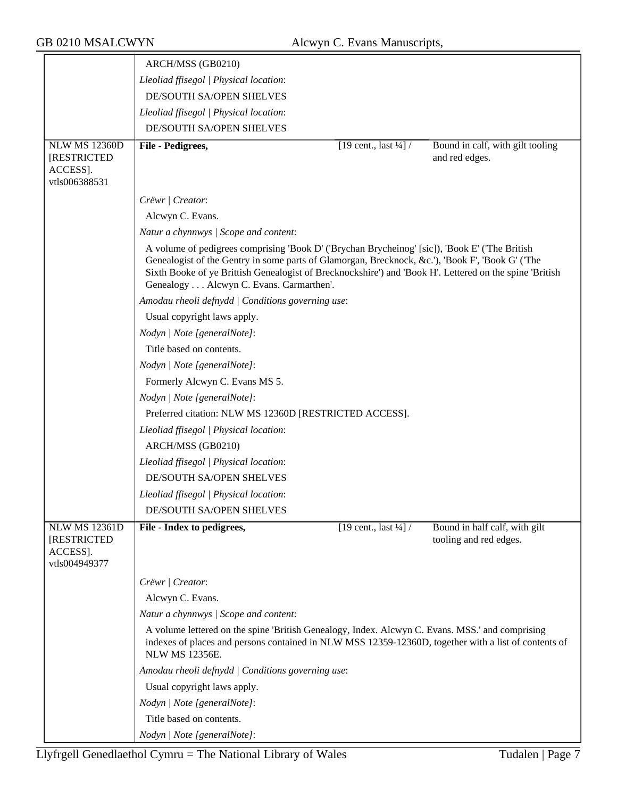|                                                                  | ARCH/MSS (GB0210)                                                                                                                                                                                                                                                                                                                                        |                                   |                                                         |
|------------------------------------------------------------------|----------------------------------------------------------------------------------------------------------------------------------------------------------------------------------------------------------------------------------------------------------------------------------------------------------------------------------------------------------|-----------------------------------|---------------------------------------------------------|
|                                                                  | Lleoliad ffisegol   Physical location:                                                                                                                                                                                                                                                                                                                   |                                   |                                                         |
|                                                                  | DE/SOUTH SA/OPEN SHELVES                                                                                                                                                                                                                                                                                                                                 |                                   |                                                         |
|                                                                  | Lleoliad ffisegol   Physical location:                                                                                                                                                                                                                                                                                                                   |                                   |                                                         |
|                                                                  | DE/SOUTH SA/OPEN SHELVES                                                                                                                                                                                                                                                                                                                                 |                                   |                                                         |
| <b>NLW MS 12360D</b>                                             | File - Pedigrees,                                                                                                                                                                                                                                                                                                                                        | [19 cent., last $\frac{1}{4}$ ] / | Bound in calf, with gilt tooling                        |
| [RESTRICTED                                                      |                                                                                                                                                                                                                                                                                                                                                          |                                   | and red edges.                                          |
| ACCESS].<br>vtls006388531                                        |                                                                                                                                                                                                                                                                                                                                                          |                                   |                                                         |
|                                                                  | Crëwr   Creator:                                                                                                                                                                                                                                                                                                                                         |                                   |                                                         |
|                                                                  |                                                                                                                                                                                                                                                                                                                                                          |                                   |                                                         |
|                                                                  | Alcwyn C. Evans.                                                                                                                                                                                                                                                                                                                                         |                                   |                                                         |
|                                                                  | Natur a chynnwys / Scope and content:                                                                                                                                                                                                                                                                                                                    |                                   |                                                         |
|                                                                  | A volume of pedigrees comprising 'Book D' ('Brychan Brycheinog' [sic]), 'Book E' ('The British<br>Genealogist of the Gentry in some parts of Glamorgan, Brecknock, &c.'), 'Book F', 'Book G' ('The<br>Sixth Booke of ye Brittish Genealogist of Brecknockshire') and 'Book H'. Lettered on the spine 'British<br>Genealogy Alcwyn C. Evans. Carmarthen'. |                                   |                                                         |
|                                                                  | Amodau rheoli defnydd   Conditions governing use:                                                                                                                                                                                                                                                                                                        |                                   |                                                         |
|                                                                  | Usual copyright laws apply.                                                                                                                                                                                                                                                                                                                              |                                   |                                                         |
|                                                                  | Nodyn   Note [generalNote]:                                                                                                                                                                                                                                                                                                                              |                                   |                                                         |
|                                                                  | Title based on contents.                                                                                                                                                                                                                                                                                                                                 |                                   |                                                         |
|                                                                  | Nodyn   Note [generalNote]:                                                                                                                                                                                                                                                                                                                              |                                   |                                                         |
|                                                                  | Formerly Alcwyn C. Evans MS 5.                                                                                                                                                                                                                                                                                                                           |                                   |                                                         |
|                                                                  | Nodyn   Note [generalNote]:                                                                                                                                                                                                                                                                                                                              |                                   |                                                         |
|                                                                  | Preferred citation: NLW MS 12360D [RESTRICTED ACCESS].                                                                                                                                                                                                                                                                                                   |                                   |                                                         |
|                                                                  | Lleoliad ffisegol   Physical location:                                                                                                                                                                                                                                                                                                                   |                                   |                                                         |
|                                                                  | ARCH/MSS (GB0210)                                                                                                                                                                                                                                                                                                                                        |                                   |                                                         |
|                                                                  | Lleoliad ffisegol   Physical location:                                                                                                                                                                                                                                                                                                                   |                                   |                                                         |
|                                                                  | DE/SOUTH SA/OPEN SHELVES                                                                                                                                                                                                                                                                                                                                 |                                   |                                                         |
|                                                                  | Lleoliad ffisegol   Physical location:                                                                                                                                                                                                                                                                                                                   |                                   |                                                         |
|                                                                  | DE/SOUTH SA/OPEN SHELVES                                                                                                                                                                                                                                                                                                                                 |                                   |                                                         |
| <b>NLW MS 12361D</b><br>[RESTRICTED<br>ACCESS].<br>vtls004949377 | File - Index to pedigrees,                                                                                                                                                                                                                                                                                                                               | [19 cent., last $\frac{1}{4}$ ] / | Bound in half calf, with gilt<br>tooling and red edges. |
|                                                                  |                                                                                                                                                                                                                                                                                                                                                          |                                   |                                                         |
|                                                                  | Crëwr   Creator:                                                                                                                                                                                                                                                                                                                                         |                                   |                                                         |
|                                                                  | Alcwyn C. Evans.                                                                                                                                                                                                                                                                                                                                         |                                   |                                                         |
|                                                                  | Natur a chynnwys / Scope and content:                                                                                                                                                                                                                                                                                                                    |                                   |                                                         |
|                                                                  | A volume lettered on the spine 'British Genealogy, Index. Alcwyn C. Evans. MSS.' and comprising<br>indexes of places and persons contained in NLW MSS 12359-12360D, together with a list of contents of<br><b>NLW MS 12356E.</b>                                                                                                                         |                                   |                                                         |
|                                                                  | Amodau rheoli defnydd   Conditions governing use:                                                                                                                                                                                                                                                                                                        |                                   |                                                         |
|                                                                  | Usual copyright laws apply.                                                                                                                                                                                                                                                                                                                              |                                   |                                                         |
|                                                                  | Nodyn   Note [generalNote]:                                                                                                                                                                                                                                                                                                                              |                                   |                                                         |
|                                                                  | Title based on contents.                                                                                                                                                                                                                                                                                                                                 |                                   |                                                         |
|                                                                  | Nodyn   Note [generalNote]:                                                                                                                                                                                                                                                                                                                              |                                   |                                                         |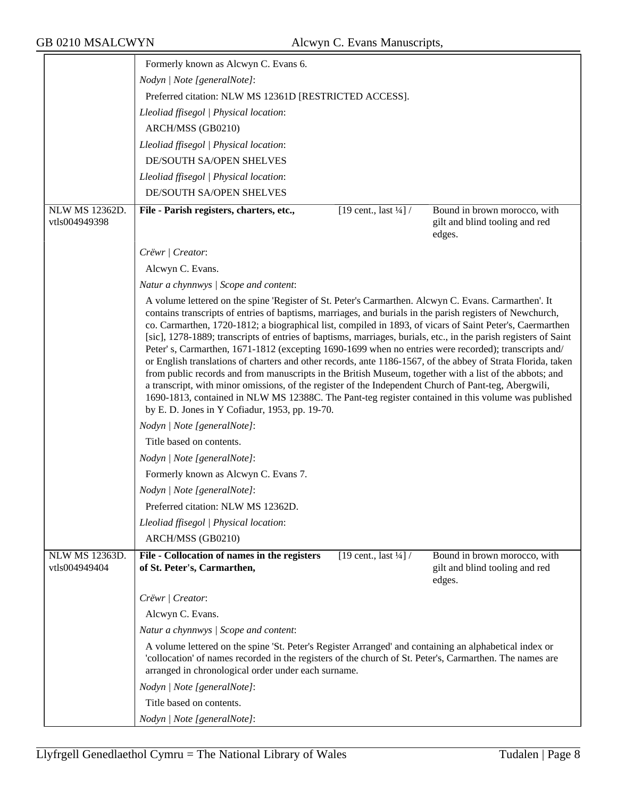|                                 | Formerly known as Alcwyn C. Evans 6.                                                                                                                                                                                                                                                                                                                                                                                                                                                                                                                                                                                                                                                                                                                                                                                                                                                                                                                                                                                                                    |
|---------------------------------|---------------------------------------------------------------------------------------------------------------------------------------------------------------------------------------------------------------------------------------------------------------------------------------------------------------------------------------------------------------------------------------------------------------------------------------------------------------------------------------------------------------------------------------------------------------------------------------------------------------------------------------------------------------------------------------------------------------------------------------------------------------------------------------------------------------------------------------------------------------------------------------------------------------------------------------------------------------------------------------------------------------------------------------------------------|
|                                 | Nodyn   Note [generalNote]:                                                                                                                                                                                                                                                                                                                                                                                                                                                                                                                                                                                                                                                                                                                                                                                                                                                                                                                                                                                                                             |
|                                 | Preferred citation: NLW MS 12361D [RESTRICTED ACCESS].                                                                                                                                                                                                                                                                                                                                                                                                                                                                                                                                                                                                                                                                                                                                                                                                                                                                                                                                                                                                  |
|                                 | Lleoliad ffisegol   Physical location:                                                                                                                                                                                                                                                                                                                                                                                                                                                                                                                                                                                                                                                                                                                                                                                                                                                                                                                                                                                                                  |
|                                 | ARCH/MSS (GB0210)                                                                                                                                                                                                                                                                                                                                                                                                                                                                                                                                                                                                                                                                                                                                                                                                                                                                                                                                                                                                                                       |
|                                 | Lleoliad ffisegol   Physical location:                                                                                                                                                                                                                                                                                                                                                                                                                                                                                                                                                                                                                                                                                                                                                                                                                                                                                                                                                                                                                  |
|                                 | DE/SOUTH SA/OPEN SHELVES                                                                                                                                                                                                                                                                                                                                                                                                                                                                                                                                                                                                                                                                                                                                                                                                                                                                                                                                                                                                                                |
|                                 | Lleoliad ffisegol   Physical location:                                                                                                                                                                                                                                                                                                                                                                                                                                                                                                                                                                                                                                                                                                                                                                                                                                                                                                                                                                                                                  |
|                                 | DE/SOUTH SA/OPEN SHELVES                                                                                                                                                                                                                                                                                                                                                                                                                                                                                                                                                                                                                                                                                                                                                                                                                                                                                                                                                                                                                                |
| NLW MS 12362D.<br>vtls004949398 | [19 cent., last $\frac{1}{4}$ ] /<br>Bound in brown morocco, with<br>File - Parish registers, charters, etc.,<br>gilt and blind tooling and red<br>edges.                                                                                                                                                                                                                                                                                                                                                                                                                                                                                                                                                                                                                                                                                                                                                                                                                                                                                               |
|                                 | Crëwr   Creator:                                                                                                                                                                                                                                                                                                                                                                                                                                                                                                                                                                                                                                                                                                                                                                                                                                                                                                                                                                                                                                        |
|                                 | Alcwyn C. Evans.                                                                                                                                                                                                                                                                                                                                                                                                                                                                                                                                                                                                                                                                                                                                                                                                                                                                                                                                                                                                                                        |
|                                 | Natur a chynnwys / Scope and content:                                                                                                                                                                                                                                                                                                                                                                                                                                                                                                                                                                                                                                                                                                                                                                                                                                                                                                                                                                                                                   |
|                                 | A volume lettered on the spine 'Register of St. Peter's Carmarthen. Alcwyn C. Evans. Carmarthen'. It<br>contains transcripts of entries of baptisms, marriages, and burials in the parish registers of Newchurch,<br>co. Carmarthen, 1720-1812; a biographical list, compiled in 1893, of vicars of Saint Peter's, Caermarthen<br>[sic], 1278-1889; transcripts of entries of baptisms, marriages, burials, etc., in the parish registers of Saint<br>Peter's, Carmarthen, 1671-1812 (excepting 1690-1699 when no entries were recorded); transcripts and/<br>or English translations of charters and other records, ante 1186-1567, of the abbey of Strata Florida, taken<br>from public records and from manuscripts in the British Museum, together with a list of the abbots; and<br>a transcript, with minor omissions, of the register of the Independent Church of Pant-teg, Abergwili,<br>1690-1813, contained in NLW MS 12388C. The Pant-teg register contained in this volume was published<br>by E. D. Jones in Y Cofiadur, 1953, pp. 19-70. |
|                                 | Nodyn   Note [generalNote]:                                                                                                                                                                                                                                                                                                                                                                                                                                                                                                                                                                                                                                                                                                                                                                                                                                                                                                                                                                                                                             |
|                                 | Title based on contents.                                                                                                                                                                                                                                                                                                                                                                                                                                                                                                                                                                                                                                                                                                                                                                                                                                                                                                                                                                                                                                |
|                                 | Nodyn   Note [generalNote]:                                                                                                                                                                                                                                                                                                                                                                                                                                                                                                                                                                                                                                                                                                                                                                                                                                                                                                                                                                                                                             |
|                                 | Formerly known as Alcwyn C. Evans 7.                                                                                                                                                                                                                                                                                                                                                                                                                                                                                                                                                                                                                                                                                                                                                                                                                                                                                                                                                                                                                    |
|                                 | Nodyn   Note [generalNote]:                                                                                                                                                                                                                                                                                                                                                                                                                                                                                                                                                                                                                                                                                                                                                                                                                                                                                                                                                                                                                             |
|                                 | Preferred citation: NLW MS 12362D.                                                                                                                                                                                                                                                                                                                                                                                                                                                                                                                                                                                                                                                                                                                                                                                                                                                                                                                                                                                                                      |
|                                 | Lleoliad ffisegol   Physical location:                                                                                                                                                                                                                                                                                                                                                                                                                                                                                                                                                                                                                                                                                                                                                                                                                                                                                                                                                                                                                  |
|                                 | ARCH/MSS (GB0210)                                                                                                                                                                                                                                                                                                                                                                                                                                                                                                                                                                                                                                                                                                                                                                                                                                                                                                                                                                                                                                       |
| NLW MS 12363D.<br>vtls004949404 | File - Collocation of names in the registers<br>[19 cent., last $\frac{1}{4}$ ] /<br>Bound in brown morocco, with<br>of St. Peter's, Carmarthen,<br>gilt and blind tooling and red<br>edges.                                                                                                                                                                                                                                                                                                                                                                                                                                                                                                                                                                                                                                                                                                                                                                                                                                                            |
|                                 | Crëwr   Creator:                                                                                                                                                                                                                                                                                                                                                                                                                                                                                                                                                                                                                                                                                                                                                                                                                                                                                                                                                                                                                                        |
|                                 | Alcwyn C. Evans.                                                                                                                                                                                                                                                                                                                                                                                                                                                                                                                                                                                                                                                                                                                                                                                                                                                                                                                                                                                                                                        |
|                                 | Natur a chynnwys / Scope and content:                                                                                                                                                                                                                                                                                                                                                                                                                                                                                                                                                                                                                                                                                                                                                                                                                                                                                                                                                                                                                   |
|                                 | A volume lettered on the spine 'St. Peter's Register Arranged' and containing an alphabetical index or<br>'collocation' of names recorded in the registers of the church of St. Peter's, Carmarthen. The names are<br>arranged in chronological order under each surname.                                                                                                                                                                                                                                                                                                                                                                                                                                                                                                                                                                                                                                                                                                                                                                               |
|                                 | Nodyn   Note [generalNote]:                                                                                                                                                                                                                                                                                                                                                                                                                                                                                                                                                                                                                                                                                                                                                                                                                                                                                                                                                                                                                             |
|                                 | Title based on contents.                                                                                                                                                                                                                                                                                                                                                                                                                                                                                                                                                                                                                                                                                                                                                                                                                                                                                                                                                                                                                                |
|                                 | Nodyn   Note [generalNote]:                                                                                                                                                                                                                                                                                                                                                                                                                                                                                                                                                                                                                                                                                                                                                                                                                                                                                                                                                                                                                             |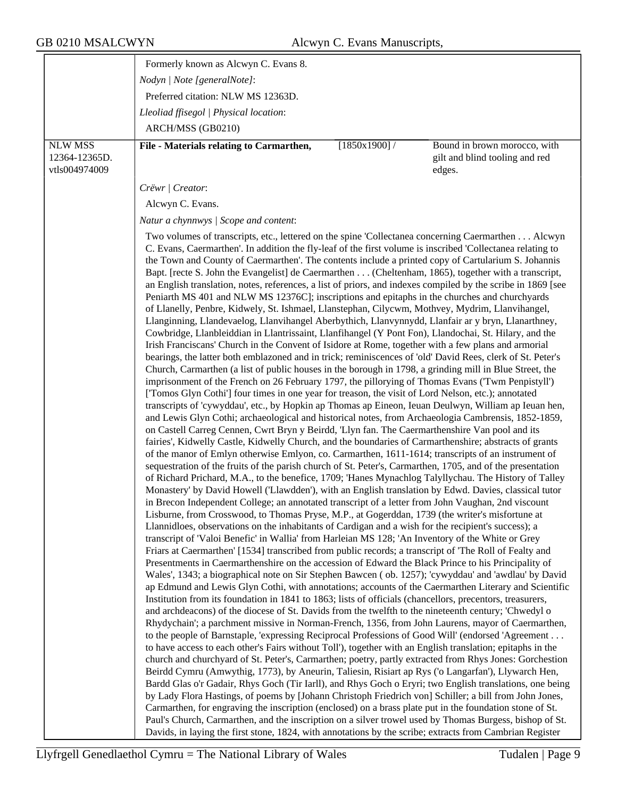|                                                  | Formerly known as Alcwyn C. Evans 8.                                                                                                                                                                                                                                                                                                                                                                                                                                                                                                                                                                                                                                                                                                                                                                                                                                                                                                                                                                                                                                                                                                                                                                                                                                                                                                                                                                                                                                                                                                                                                                                                                                                                                                                                                                                                                                                                                                                                                                                                                                                                                                                                                                                                                                                                                                                                                                                                                                                                                                                                                                                                                                                                                                                                                                                                                                                                                                                                                                                                                                                                                                                                                                                                                                                                                                                                                                                                                                                                                                                                                                                                                                                                                                                                                                                                                                                                                                                                                                                                                                                                                                                                                                                                                                                                                                                                                                                                                                                                                                                          |             |                                                                          |
|--------------------------------------------------|---------------------------------------------------------------------------------------------------------------------------------------------------------------------------------------------------------------------------------------------------------------------------------------------------------------------------------------------------------------------------------------------------------------------------------------------------------------------------------------------------------------------------------------------------------------------------------------------------------------------------------------------------------------------------------------------------------------------------------------------------------------------------------------------------------------------------------------------------------------------------------------------------------------------------------------------------------------------------------------------------------------------------------------------------------------------------------------------------------------------------------------------------------------------------------------------------------------------------------------------------------------------------------------------------------------------------------------------------------------------------------------------------------------------------------------------------------------------------------------------------------------------------------------------------------------------------------------------------------------------------------------------------------------------------------------------------------------------------------------------------------------------------------------------------------------------------------------------------------------------------------------------------------------------------------------------------------------------------------------------------------------------------------------------------------------------------------------------------------------------------------------------------------------------------------------------------------------------------------------------------------------------------------------------------------------------------------------------------------------------------------------------------------------------------------------------------------------------------------------------------------------------------------------------------------------------------------------------------------------------------------------------------------------------------------------------------------------------------------------------------------------------------------------------------------------------------------------------------------------------------------------------------------------------------------------------------------------------------------------------------------------------------------------------------------------------------------------------------------------------------------------------------------------------------------------------------------------------------------------------------------------------------------------------------------------------------------------------------------------------------------------------------------------------------------------------------------------------------------------------------------------------------------------------------------------------------------------------------------------------------------------------------------------------------------------------------------------------------------------------------------------------------------------------------------------------------------------------------------------------------------------------------------------------------------------------------------------------------------------------------------------------------------------------------------------------------------------------------------------------------------------------------------------------------------------------------------------------------------------------------------------------------------------------------------------------------------------------------------------------------------------------------------------------------------------------------------------------------------------------------------------------------------------------------------------|-------------|--------------------------------------------------------------------------|
|                                                  | Nodyn   Note [generalNote]:                                                                                                                                                                                                                                                                                                                                                                                                                                                                                                                                                                                                                                                                                                                                                                                                                                                                                                                                                                                                                                                                                                                                                                                                                                                                                                                                                                                                                                                                                                                                                                                                                                                                                                                                                                                                                                                                                                                                                                                                                                                                                                                                                                                                                                                                                                                                                                                                                                                                                                                                                                                                                                                                                                                                                                                                                                                                                                                                                                                                                                                                                                                                                                                                                                                                                                                                                                                                                                                                                                                                                                                                                                                                                                                                                                                                                                                                                                                                                                                                                                                                                                                                                                                                                                                                                                                                                                                                                                                                                                                                   |             |                                                                          |
|                                                  | Preferred citation: NLW MS 12363D.                                                                                                                                                                                                                                                                                                                                                                                                                                                                                                                                                                                                                                                                                                                                                                                                                                                                                                                                                                                                                                                                                                                                                                                                                                                                                                                                                                                                                                                                                                                                                                                                                                                                                                                                                                                                                                                                                                                                                                                                                                                                                                                                                                                                                                                                                                                                                                                                                                                                                                                                                                                                                                                                                                                                                                                                                                                                                                                                                                                                                                                                                                                                                                                                                                                                                                                                                                                                                                                                                                                                                                                                                                                                                                                                                                                                                                                                                                                                                                                                                                                                                                                                                                                                                                                                                                                                                                                                                                                                                                                            |             |                                                                          |
|                                                  | Lleoliad ffisegol   Physical location:                                                                                                                                                                                                                                                                                                                                                                                                                                                                                                                                                                                                                                                                                                                                                                                                                                                                                                                                                                                                                                                                                                                                                                                                                                                                                                                                                                                                                                                                                                                                                                                                                                                                                                                                                                                                                                                                                                                                                                                                                                                                                                                                                                                                                                                                                                                                                                                                                                                                                                                                                                                                                                                                                                                                                                                                                                                                                                                                                                                                                                                                                                                                                                                                                                                                                                                                                                                                                                                                                                                                                                                                                                                                                                                                                                                                                                                                                                                                                                                                                                                                                                                                                                                                                                                                                                                                                                                                                                                                                                                        |             |                                                                          |
|                                                  | ARCH/MSS (GB0210)                                                                                                                                                                                                                                                                                                                                                                                                                                                                                                                                                                                                                                                                                                                                                                                                                                                                                                                                                                                                                                                                                                                                                                                                                                                                                                                                                                                                                                                                                                                                                                                                                                                                                                                                                                                                                                                                                                                                                                                                                                                                                                                                                                                                                                                                                                                                                                                                                                                                                                                                                                                                                                                                                                                                                                                                                                                                                                                                                                                                                                                                                                                                                                                                                                                                                                                                                                                                                                                                                                                                                                                                                                                                                                                                                                                                                                                                                                                                                                                                                                                                                                                                                                                                                                                                                                                                                                                                                                                                                                                                             |             |                                                                          |
|                                                  |                                                                                                                                                                                                                                                                                                                                                                                                                                                                                                                                                                                                                                                                                                                                                                                                                                                                                                                                                                                                                                                                                                                                                                                                                                                                                                                                                                                                                                                                                                                                                                                                                                                                                                                                                                                                                                                                                                                                                                                                                                                                                                                                                                                                                                                                                                                                                                                                                                                                                                                                                                                                                                                                                                                                                                                                                                                                                                                                                                                                                                                                                                                                                                                                                                                                                                                                                                                                                                                                                                                                                                                                                                                                                                                                                                                                                                                                                                                                                                                                                                                                                                                                                                                                                                                                                                                                                                                                                                                                                                                                                               |             |                                                                          |
| <b>NLW MSS</b><br>12364-12365D.<br>vtls004974009 | File - Materials relating to Carmarthen,                                                                                                                                                                                                                                                                                                                                                                                                                                                                                                                                                                                                                                                                                                                                                                                                                                                                                                                                                                                                                                                                                                                                                                                                                                                                                                                                                                                                                                                                                                                                                                                                                                                                                                                                                                                                                                                                                                                                                                                                                                                                                                                                                                                                                                                                                                                                                                                                                                                                                                                                                                                                                                                                                                                                                                                                                                                                                                                                                                                                                                                                                                                                                                                                                                                                                                                                                                                                                                                                                                                                                                                                                                                                                                                                                                                                                                                                                                                                                                                                                                                                                                                                                                                                                                                                                                                                                                                                                                                                                                                      | [1850x1900] | Bound in brown morocco, with<br>gilt and blind tooling and red<br>edges. |
|                                                  | Crëwr   Creator:                                                                                                                                                                                                                                                                                                                                                                                                                                                                                                                                                                                                                                                                                                                                                                                                                                                                                                                                                                                                                                                                                                                                                                                                                                                                                                                                                                                                                                                                                                                                                                                                                                                                                                                                                                                                                                                                                                                                                                                                                                                                                                                                                                                                                                                                                                                                                                                                                                                                                                                                                                                                                                                                                                                                                                                                                                                                                                                                                                                                                                                                                                                                                                                                                                                                                                                                                                                                                                                                                                                                                                                                                                                                                                                                                                                                                                                                                                                                                                                                                                                                                                                                                                                                                                                                                                                                                                                                                                                                                                                                              |             |                                                                          |
|                                                  | Alcwyn C. Evans.                                                                                                                                                                                                                                                                                                                                                                                                                                                                                                                                                                                                                                                                                                                                                                                                                                                                                                                                                                                                                                                                                                                                                                                                                                                                                                                                                                                                                                                                                                                                                                                                                                                                                                                                                                                                                                                                                                                                                                                                                                                                                                                                                                                                                                                                                                                                                                                                                                                                                                                                                                                                                                                                                                                                                                                                                                                                                                                                                                                                                                                                                                                                                                                                                                                                                                                                                                                                                                                                                                                                                                                                                                                                                                                                                                                                                                                                                                                                                                                                                                                                                                                                                                                                                                                                                                                                                                                                                                                                                                                                              |             |                                                                          |
|                                                  | Natur a chynnwys / Scope and content:                                                                                                                                                                                                                                                                                                                                                                                                                                                                                                                                                                                                                                                                                                                                                                                                                                                                                                                                                                                                                                                                                                                                                                                                                                                                                                                                                                                                                                                                                                                                                                                                                                                                                                                                                                                                                                                                                                                                                                                                                                                                                                                                                                                                                                                                                                                                                                                                                                                                                                                                                                                                                                                                                                                                                                                                                                                                                                                                                                                                                                                                                                                                                                                                                                                                                                                                                                                                                                                                                                                                                                                                                                                                                                                                                                                                                                                                                                                                                                                                                                                                                                                                                                                                                                                                                                                                                                                                                                                                                                                         |             |                                                                          |
|                                                  |                                                                                                                                                                                                                                                                                                                                                                                                                                                                                                                                                                                                                                                                                                                                                                                                                                                                                                                                                                                                                                                                                                                                                                                                                                                                                                                                                                                                                                                                                                                                                                                                                                                                                                                                                                                                                                                                                                                                                                                                                                                                                                                                                                                                                                                                                                                                                                                                                                                                                                                                                                                                                                                                                                                                                                                                                                                                                                                                                                                                                                                                                                                                                                                                                                                                                                                                                                                                                                                                                                                                                                                                                                                                                                                                                                                                                                                                                                                                                                                                                                                                                                                                                                                                                                                                                                                                                                                                                                                                                                                                                               |             |                                                                          |
|                                                  | Two volumes of transcripts, etc., lettered on the spine 'Collectanea concerning Caermarthen Alcwyn<br>C. Evans, Caermarthen'. In addition the fly-leaf of the first volume is inscribed 'Collectanea relating to<br>the Town and County of Caermarthen'. The contents include a printed copy of Cartularium S. Johannis<br>Bapt. [recte S. John the Evangelist] de Caermarthen (Cheltenham, 1865), together with a transcript,<br>an English translation, notes, references, a list of priors, and indexes compiled by the scribe in 1869 [see<br>Peniarth MS 401 and NLW MS 12376C]; inscriptions and epitaphs in the churches and churchyards<br>of Llanelly, Penbre, Kidwely, St. Ishmael, Llanstephan, Cilycwm, Mothvey, Mydrim, Llanvihangel,<br>Llanginning, Llandevaelog, Llanvihangel Aberbythich, Llanvynnydd, Llanfair ar y bryn, Llanarthney,<br>Cowbridge, Llanbleiddian in Llantrissaint, Llanfihangel (Y Pont Fon), Llandochai, St. Hilary, and the<br>Irish Franciscans' Church in the Convent of Isidore at Rome, together with a few plans and armorial<br>bearings, the latter both emblazoned and in trick; reminiscences of 'old' David Rees, clerk of St. Peter's<br>Church, Carmarthen (a list of public houses in the borough in 1798, a grinding mill in Blue Street, the<br>imprisonment of the French on 26 February 1797, the pillorying of Thomas Evans ('Twm Penpistyll')<br>['Tomos Glyn Cothi'] four times in one year for treason, the visit of Lord Nelson, etc.); annotated<br>transcripts of 'cywyddau', etc., by Hopkin ap Thomas ap Eineon, Ieuan Deulwyn, William ap Ieuan hen,<br>and Lewis Glyn Cothi; archaeological and historical notes, from Archaeologia Cambrensis, 1852-1859,<br>on Castell Carreg Cennen, Cwrt Bryn y Beirdd, 'Llyn fan. The Caermarthenshire Van pool and its<br>fairies', Kidwelly Castle, Kidwelly Church, and the boundaries of Carmarthenshire; abstracts of grants<br>of the manor of Emlyn otherwise Emlyon, co. Carmarthen, 1611-1614; transcripts of an instrument of<br>sequestration of the fruits of the parish church of St. Peter's, Carmarthen, 1705, and of the presentation<br>of Richard Prichard, M.A., to the benefice, 1709; 'Hanes Mynachlog Talyllychau. The History of Talley<br>Monastery' by David Howell ('Llawdden'), with an English translation by Edwd. Davies, classical tutor<br>in Brecon Independent College; an annotated transcript of a letter from John Vaughan, 2nd viscount<br>Lisburne, from Crosswood, to Thomas Pryse, M.P., at Gogerddan, 1739 (the writer's misfortune at<br>Llannidloes, observations on the inhabitants of Cardigan and a wish for the recipient's success); a<br>transcript of 'Valoi Benefic' in Wallia' from Harleian MS 128; 'An Inventory of the White or Grey<br>Friars at Caermarthen' [1534] transcribed from public records; a transcript of 'The Roll of Fealty and<br>Presentments in Caermarthenshire on the accession of Edward the Black Prince to his Principality of<br>Wales', 1343; a biographical note on Sir Stephen Bawcen (ob. 1257); 'cywyddau' and 'awdlau' by David<br>ap Edmund and Lewis Glyn Cothi, with annotations; accounts of the Caermarthen Literary and Scientific<br>Institution from its foundation in 1841 to 1863; lists of officials (chancellors, precentors, treasurers,<br>and archdeacons) of the diocese of St. Davids from the twelfth to the nineteenth century; 'Chwedyl o<br>Rhydychain'; a parchment missive in Norman-French, 1356, from John Laurens, mayor of Caermarthen,<br>to the people of Barnstaple, 'expressing Reciprocal Professions of Good Will' (endorsed 'Agreement<br>to have access to each other's Fairs without Toll'), together with an English translation; epitaphs in the<br>church and churchyard of St. Peter's, Carmarthen; poetry, partly extracted from Rhys Jones: Gorchestion<br>Beirdd Cymru (Amwythig, 1773), by Aneurin, Taliesin, Risiart ap Rys ('o Langarfan'), Llywarch Hen,<br>Bardd Glas o'r Gadair, Rhys Goch (Tir Iarll), and Rhys Goch o Eryri; two English translations, one being<br>by Lady Flora Hastings, of poems by [Johann Christoph Friedrich von] Schiller; a bill from John Jones,<br>Carmarthen, for engraving the inscription (enclosed) on a brass plate put in the foundation stone of St.<br>Paul's Church, Carmarthen, and the inscription on a silver trowel used by Thomas Burgess, bishop of St.<br>Davids, in laying the first stone, 1824, with annotations by the scribe; extracts from Cambrian Register |             |                                                                          |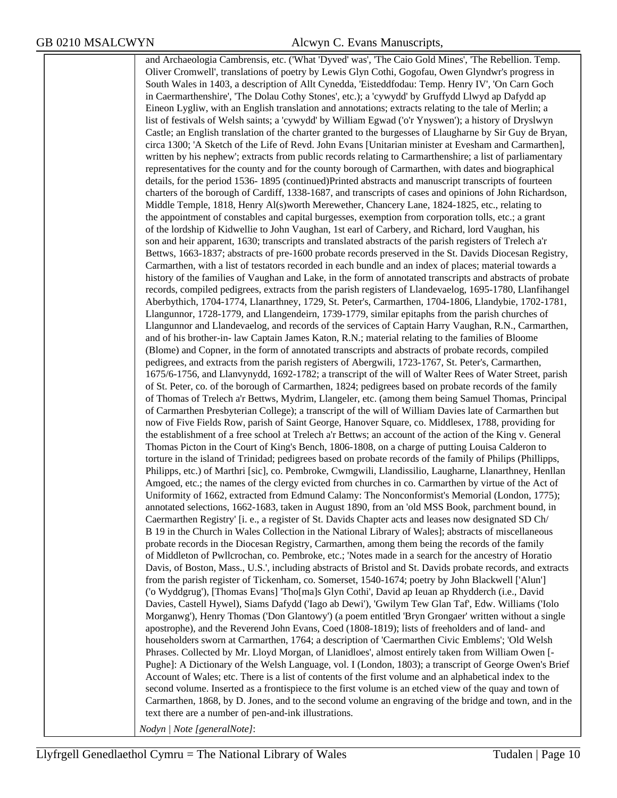and Archaeologia Cambrensis, etc. ('What 'Dyved' was', 'The Caio Gold Mines', 'The Rebellion. Temp. Oliver Cromwell', translations of poetry by Lewis Glyn Cothi, Gogofau, Owen Glyndwr's progress in South Wales in 1403, a description of Allt Cynedda, 'Eisteddfodau: Temp. Henry IV', 'On Carn Goch in Caermarthenshire', 'The Dolau Cothy Stones', etc.); a 'cywydd' by Gruffydd Llwyd ap Dafydd ap Eineon Lygliw, with an English translation and annotations; extracts relating to the tale of Merlin; a list of festivals of Welsh saints; a 'cywydd' by William Egwad ('o'r Ynyswen'); a history of Dryslwyn Castle; an English translation of the charter granted to the burgesses of Llaugharne by Sir Guy de Bryan, circa 1300; 'A Sketch of the Life of Revd. John Evans [Unitarian minister at Evesham and Carmarthen], written by his nephew'; extracts from public records relating to Carmarthenshire; a list of parliamentary representatives for the county and for the county borough of Carmarthen, with dates and biographical details, for the period 1536- 1895 (continued)Printed abstracts and manuscript transcripts of fourteen charters of the borough of Cardiff, 1338-1687, and transcripts of cases and opinions of John Richardson, Middle Temple, 1818, Henry Al(s)worth Merewether, Chancery Lane, 1824-1825, etc., relating to the appointment of constables and capital burgesses, exemption from corporation tolls, etc.; a grant of the lordship of Kidwellie to John Vaughan, 1st earl of Carbery, and Richard, lord Vaughan, his son and heir apparent, 1630; transcripts and translated abstracts of the parish registers of Trelech a'r Bettws, 1663-1837; abstracts of pre-1600 probate records preserved in the St. Davids Diocesan Registry, Carmarthen, with a list of testators recorded in each bundle and an index of places; material towards a history of the families of Vaughan and Lake, in the form of annotated transcripts and abstracts of probate records, compiled pedigrees, extracts from the parish registers of Llandevaelog, 1695-1780, Llanfihangel Aberbythich, 1704-1774, Llanarthney, 1729, St. Peter's, Carmarthen, 1704-1806, Llandybie, 1702-1781, Llangunnor, 1728-1779, and Llangendeirn, 1739-1779, similar epitaphs from the parish churches of Llangunnor and Llandevaelog, and records of the services of Captain Harry Vaughan, R.N., Carmarthen, and of his brother-in- law Captain James Katon, R.N.; material relating to the families of Bloome (Blome) and Copner, in the form of annotated transcripts and abstracts of probate records, compiled pedigrees, and extracts from the parish registers of Abergwili, 1723-1767, St. Peter's, Carmarthen, 1675/6-1756, and Llanvynydd, 1692-1782; a transcript of the will of Walter Rees of Water Street, parish of St. Peter, co. of the borough of Carmarthen, 1824; pedigrees based on probate records of the family of Thomas of Trelech a'r Bettws, Mydrim, Llangeler, etc. (among them being Samuel Thomas, Principal of Carmarthen Presbyterian College); a transcript of the will of William Davies late of Carmarthen but now of Five Fields Row, parish of Saint George, Hanover Square, co. Middlesex, 1788, providing for the establishment of a free school at Trelech a'r Bettws; an account of the action of the King v. General Thomas Picton in the Court of King's Bench, 1806-1808, on a charge of putting Louisa Calderon to torture in the island of Trinidad; pedigrees based on probate records of the family of Philips (Phillipps, Philipps, etc.) of Marthri [sic], co. Pembroke, Cwmgwili, Llandissilio, Laugharne, Llanarthney, Henllan Amgoed, etc.; the names of the clergy evicted from churches in co. Carmarthen by virtue of the Act of Uniformity of 1662, extracted from Edmund Calamy: The Nonconformist's Memorial (London, 1775); annotated selections, 1662-1683, taken in August 1890, from an 'old MSS Book, parchment bound, in Caermarthen Registry' [i. e., a register of St. Davids Chapter acts and leases now designated SD Ch/ B 19 in the Church in Wales Collection in the National Library of Wales]; abstracts of miscellaneous probate records in the Diocesan Registry, Carmarthen, among them being the records of the family of Middleton of Pwllcrochan, co. Pembroke, etc.; 'Notes made in a search for the ancestry of Horatio Davis, of Boston, Mass., U.S.', including abstracts of Bristol and St. Davids probate records, and extracts from the parish register of Tickenham, co. Somerset, 1540-1674; poetry by John Blackwell ['Alun'] ('o Wyddgrug'), [Thomas Evans] 'Tho[ma]s Glyn Cothi', David ap Ieuan ap Rhydderch (i.e., David Davies, Castell Hywel), Siams Dafydd ('Iago ab Dewi'), 'Gwilym Tew Glan Taf', Edw. Williams ('Iolo Morganwg'), Henry Thomas ('Don Glantowy') (a poem entitled 'Bryn Grongaer' written without a single apostrophe), and the Reverend John Evans, Coed (1808-1819); lists of freeholders and of land- and householders sworn at Carmarthen, 1764; a description of 'Caermarthen Civic Emblems'; 'Old Welsh Phrases. Collected by Mr. Lloyd Morgan, of Llanidloes', almost entirely taken from William Owen [- Pughe]: A Dictionary of the Welsh Language, vol. I (London, 1803); a transcript of George Owen's Brief Account of Wales; etc. There is a list of contents of the first volume and an alphabetical index to the second volume. Inserted as a frontispiece to the first volume is an etched view of the quay and town of Carmarthen, 1868, by D. Jones, and to the second volume an engraving of the bridge and town, and in the text there are a number of pen-and-ink illustrations.

*Nodyn | Note [generalNote]*: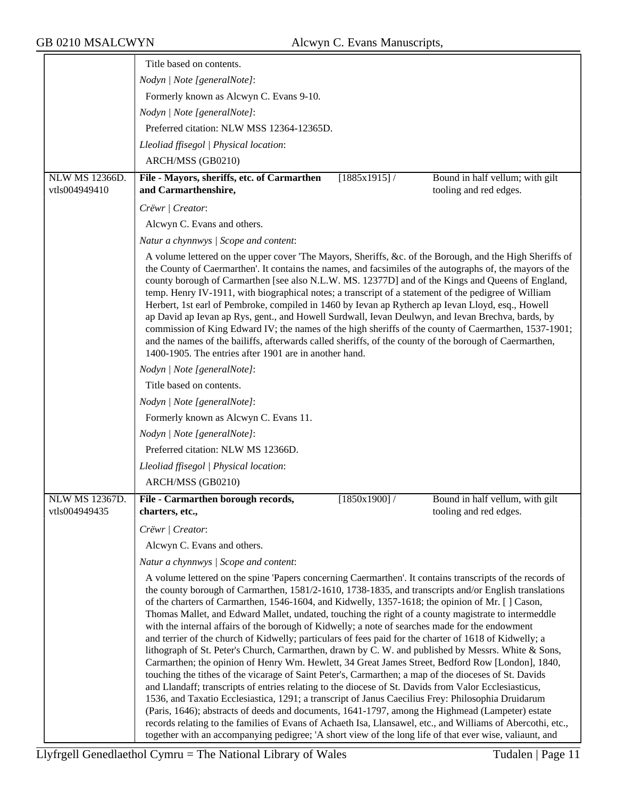| Nodyn   Note [generalNote]:<br>Formerly known as Alcwyn C. Evans 9-10.<br>Nodyn   Note [generalNote]:<br>Preferred citation: NLW MSS 12364-12365D.<br>Lleoliad ffisegol   Physical location:<br>ARCH/MSS (GB0210)<br><b>NLW MS 12366D.</b><br>File - Mayors, sheriffs, etc. of Carmarthen<br>[1885x1915]/<br>Bound in half vellum; with gilt<br>vtls004949410<br>and Carmarthenshire,<br>tooling and red edges.<br>Crëwr   Creator:<br>Alcwyn C. Evans and others.<br>Natur a chynnwys / Scope and content:<br>A volume lettered on the upper cover 'The Mayors, Sheriffs, &c. of the Borough, and the High Sheriffs of<br>the County of Caermarthen'. It contains the names, and facsimiles of the autographs of, the mayors of the<br>county borough of Carmarthen [see also N.L.W. MS. 12377D] and of the Kings and Queens of England,<br>temp. Henry IV-1911, with biographical notes; a transcript of a statement of the pedigree of William<br>Herbert, 1st earl of Pembroke, compiled in 1460 by Ievan ap Rytherch ap Ievan Lloyd, esq., Howell<br>ap David ap Ievan ap Rys, gent., and Howell Surdwall, Ievan Deulwyn, and Ievan Brechva, bards, by<br>and the names of the bailiffs, afterwards called sheriffs, of the county of the borough of Caermarthen,<br>1400-1905. The entries after 1901 are in another hand.<br>Nodyn   Note [generalNote]:<br>Title based on contents.<br>Nodyn   Note [generalNote]:<br>Formerly known as Alcwyn C. Evans 11.<br>Nodyn   Note [generalNote]:<br>Preferred citation: NLW MS 12366D.<br>Lleoliad ffisegol   Physical location:<br>ARCH/MSS (GB0210)<br><b>NLW MS 12367D.</b><br>File - Carmarthen borough records,<br>Bound in half vellum, with gilt<br>$[1850x1900]$ /<br>vtls004949435<br>tooling and red edges.<br>charters, etc.,<br>Crëwr   Creator:<br>Alcwyn C. Evans and others.<br>Natur a chynnwys / Scope and content:<br>A volume lettered on the spine 'Papers concerning Caermarthen'. It contains transcripts of the records of<br>the county borough of Carmarthen, 1581/2-1610, 1738-1835, and transcripts and/or English translations<br>of the charters of Carmarthen, 1546-1604, and Kidwelly, 1357-1618; the opinion of Mr. [] Cason,<br>Thomas Mallet, and Edward Mallet, undated, touching the right of a county magistrate to intermeddle<br>with the internal affairs of the borough of Kidwelly; a note of searches made for the endowment<br>and terrier of the church of Kidwelly; particulars of fees paid for the charter of 1618 of Kidwelly; a<br>lithograph of St. Peter's Church, Carmarthen, drawn by C. W. and published by Messrs. White & Sons,<br>Carmarthen; the opinion of Henry Wm. Hewlett, 34 Great James Street, Bedford Row [London], 1840, | Title based on contents.                                                                              |
|------------------------------------------------------------------------------------------------------------------------------------------------------------------------------------------------------------------------------------------------------------------------------------------------------------------------------------------------------------------------------------------------------------------------------------------------------------------------------------------------------------------------------------------------------------------------------------------------------------------------------------------------------------------------------------------------------------------------------------------------------------------------------------------------------------------------------------------------------------------------------------------------------------------------------------------------------------------------------------------------------------------------------------------------------------------------------------------------------------------------------------------------------------------------------------------------------------------------------------------------------------------------------------------------------------------------------------------------------------------------------------------------------------------------------------------------------------------------------------------------------------------------------------------------------------------------------------------------------------------------------------------------------------------------------------------------------------------------------------------------------------------------------------------------------------------------------------------------------------------------------------------------------------------------------------------------------------------------------------------------------------------------------------------------------------------------------------------------------------------------------------------------------------------------------------------------------------------------------------------------------------------------------------------------------------------------------------------------------------------------------------------------------------------------------------------------------------------------------------------------------------------------------------------------------------------------------------------------------------------------------------------------------------------------------------------------------------------------------------------------|-------------------------------------------------------------------------------------------------------|
|                                                                                                                                                                                                                                                                                                                                                                                                                                                                                                                                                                                                                                                                                                                                                                                                                                                                                                                                                                                                                                                                                                                                                                                                                                                                                                                                                                                                                                                                                                                                                                                                                                                                                                                                                                                                                                                                                                                                                                                                                                                                                                                                                                                                                                                                                                                                                                                                                                                                                                                                                                                                                                                                                                                                                |                                                                                                       |
|                                                                                                                                                                                                                                                                                                                                                                                                                                                                                                                                                                                                                                                                                                                                                                                                                                                                                                                                                                                                                                                                                                                                                                                                                                                                                                                                                                                                                                                                                                                                                                                                                                                                                                                                                                                                                                                                                                                                                                                                                                                                                                                                                                                                                                                                                                                                                                                                                                                                                                                                                                                                                                                                                                                                                |                                                                                                       |
|                                                                                                                                                                                                                                                                                                                                                                                                                                                                                                                                                                                                                                                                                                                                                                                                                                                                                                                                                                                                                                                                                                                                                                                                                                                                                                                                                                                                                                                                                                                                                                                                                                                                                                                                                                                                                                                                                                                                                                                                                                                                                                                                                                                                                                                                                                                                                                                                                                                                                                                                                                                                                                                                                                                                                |                                                                                                       |
|                                                                                                                                                                                                                                                                                                                                                                                                                                                                                                                                                                                                                                                                                                                                                                                                                                                                                                                                                                                                                                                                                                                                                                                                                                                                                                                                                                                                                                                                                                                                                                                                                                                                                                                                                                                                                                                                                                                                                                                                                                                                                                                                                                                                                                                                                                                                                                                                                                                                                                                                                                                                                                                                                                                                                |                                                                                                       |
|                                                                                                                                                                                                                                                                                                                                                                                                                                                                                                                                                                                                                                                                                                                                                                                                                                                                                                                                                                                                                                                                                                                                                                                                                                                                                                                                                                                                                                                                                                                                                                                                                                                                                                                                                                                                                                                                                                                                                                                                                                                                                                                                                                                                                                                                                                                                                                                                                                                                                                                                                                                                                                                                                                                                                |                                                                                                       |
|                                                                                                                                                                                                                                                                                                                                                                                                                                                                                                                                                                                                                                                                                                                                                                                                                                                                                                                                                                                                                                                                                                                                                                                                                                                                                                                                                                                                                                                                                                                                                                                                                                                                                                                                                                                                                                                                                                                                                                                                                                                                                                                                                                                                                                                                                                                                                                                                                                                                                                                                                                                                                                                                                                                                                |                                                                                                       |
|                                                                                                                                                                                                                                                                                                                                                                                                                                                                                                                                                                                                                                                                                                                                                                                                                                                                                                                                                                                                                                                                                                                                                                                                                                                                                                                                                                                                                                                                                                                                                                                                                                                                                                                                                                                                                                                                                                                                                                                                                                                                                                                                                                                                                                                                                                                                                                                                                                                                                                                                                                                                                                                                                                                                                |                                                                                                       |
|                                                                                                                                                                                                                                                                                                                                                                                                                                                                                                                                                                                                                                                                                                                                                                                                                                                                                                                                                                                                                                                                                                                                                                                                                                                                                                                                                                                                                                                                                                                                                                                                                                                                                                                                                                                                                                                                                                                                                                                                                                                                                                                                                                                                                                                                                                                                                                                                                                                                                                                                                                                                                                                                                                                                                |                                                                                                       |
|                                                                                                                                                                                                                                                                                                                                                                                                                                                                                                                                                                                                                                                                                                                                                                                                                                                                                                                                                                                                                                                                                                                                                                                                                                                                                                                                                                                                                                                                                                                                                                                                                                                                                                                                                                                                                                                                                                                                                                                                                                                                                                                                                                                                                                                                                                                                                                                                                                                                                                                                                                                                                                                                                                                                                |                                                                                                       |
|                                                                                                                                                                                                                                                                                                                                                                                                                                                                                                                                                                                                                                                                                                                                                                                                                                                                                                                                                                                                                                                                                                                                                                                                                                                                                                                                                                                                                                                                                                                                                                                                                                                                                                                                                                                                                                                                                                                                                                                                                                                                                                                                                                                                                                                                                                                                                                                                                                                                                                                                                                                                                                                                                                                                                |                                                                                                       |
|                                                                                                                                                                                                                                                                                                                                                                                                                                                                                                                                                                                                                                                                                                                                                                                                                                                                                                                                                                                                                                                                                                                                                                                                                                                                                                                                                                                                                                                                                                                                                                                                                                                                                                                                                                                                                                                                                                                                                                                                                                                                                                                                                                                                                                                                                                                                                                                                                                                                                                                                                                                                                                                                                                                                                |                                                                                                       |
|                                                                                                                                                                                                                                                                                                                                                                                                                                                                                                                                                                                                                                                                                                                                                                                                                                                                                                                                                                                                                                                                                                                                                                                                                                                                                                                                                                                                                                                                                                                                                                                                                                                                                                                                                                                                                                                                                                                                                                                                                                                                                                                                                                                                                                                                                                                                                                                                                                                                                                                                                                                                                                                                                                                                                | commission of King Edward IV; the names of the high sheriffs of the county of Caermarthen, 1537-1901; |
|                                                                                                                                                                                                                                                                                                                                                                                                                                                                                                                                                                                                                                                                                                                                                                                                                                                                                                                                                                                                                                                                                                                                                                                                                                                                                                                                                                                                                                                                                                                                                                                                                                                                                                                                                                                                                                                                                                                                                                                                                                                                                                                                                                                                                                                                                                                                                                                                                                                                                                                                                                                                                                                                                                                                                |                                                                                                       |
|                                                                                                                                                                                                                                                                                                                                                                                                                                                                                                                                                                                                                                                                                                                                                                                                                                                                                                                                                                                                                                                                                                                                                                                                                                                                                                                                                                                                                                                                                                                                                                                                                                                                                                                                                                                                                                                                                                                                                                                                                                                                                                                                                                                                                                                                                                                                                                                                                                                                                                                                                                                                                                                                                                                                                |                                                                                                       |
|                                                                                                                                                                                                                                                                                                                                                                                                                                                                                                                                                                                                                                                                                                                                                                                                                                                                                                                                                                                                                                                                                                                                                                                                                                                                                                                                                                                                                                                                                                                                                                                                                                                                                                                                                                                                                                                                                                                                                                                                                                                                                                                                                                                                                                                                                                                                                                                                                                                                                                                                                                                                                                                                                                                                                |                                                                                                       |
|                                                                                                                                                                                                                                                                                                                                                                                                                                                                                                                                                                                                                                                                                                                                                                                                                                                                                                                                                                                                                                                                                                                                                                                                                                                                                                                                                                                                                                                                                                                                                                                                                                                                                                                                                                                                                                                                                                                                                                                                                                                                                                                                                                                                                                                                                                                                                                                                                                                                                                                                                                                                                                                                                                                                                |                                                                                                       |
|                                                                                                                                                                                                                                                                                                                                                                                                                                                                                                                                                                                                                                                                                                                                                                                                                                                                                                                                                                                                                                                                                                                                                                                                                                                                                                                                                                                                                                                                                                                                                                                                                                                                                                                                                                                                                                                                                                                                                                                                                                                                                                                                                                                                                                                                                                                                                                                                                                                                                                                                                                                                                                                                                                                                                |                                                                                                       |
|                                                                                                                                                                                                                                                                                                                                                                                                                                                                                                                                                                                                                                                                                                                                                                                                                                                                                                                                                                                                                                                                                                                                                                                                                                                                                                                                                                                                                                                                                                                                                                                                                                                                                                                                                                                                                                                                                                                                                                                                                                                                                                                                                                                                                                                                                                                                                                                                                                                                                                                                                                                                                                                                                                                                                |                                                                                                       |
|                                                                                                                                                                                                                                                                                                                                                                                                                                                                                                                                                                                                                                                                                                                                                                                                                                                                                                                                                                                                                                                                                                                                                                                                                                                                                                                                                                                                                                                                                                                                                                                                                                                                                                                                                                                                                                                                                                                                                                                                                                                                                                                                                                                                                                                                                                                                                                                                                                                                                                                                                                                                                                                                                                                                                |                                                                                                       |
|                                                                                                                                                                                                                                                                                                                                                                                                                                                                                                                                                                                                                                                                                                                                                                                                                                                                                                                                                                                                                                                                                                                                                                                                                                                                                                                                                                                                                                                                                                                                                                                                                                                                                                                                                                                                                                                                                                                                                                                                                                                                                                                                                                                                                                                                                                                                                                                                                                                                                                                                                                                                                                                                                                                                                |                                                                                                       |
|                                                                                                                                                                                                                                                                                                                                                                                                                                                                                                                                                                                                                                                                                                                                                                                                                                                                                                                                                                                                                                                                                                                                                                                                                                                                                                                                                                                                                                                                                                                                                                                                                                                                                                                                                                                                                                                                                                                                                                                                                                                                                                                                                                                                                                                                                                                                                                                                                                                                                                                                                                                                                                                                                                                                                |                                                                                                       |
|                                                                                                                                                                                                                                                                                                                                                                                                                                                                                                                                                                                                                                                                                                                                                                                                                                                                                                                                                                                                                                                                                                                                                                                                                                                                                                                                                                                                                                                                                                                                                                                                                                                                                                                                                                                                                                                                                                                                                                                                                                                                                                                                                                                                                                                                                                                                                                                                                                                                                                                                                                                                                                                                                                                                                |                                                                                                       |
|                                                                                                                                                                                                                                                                                                                                                                                                                                                                                                                                                                                                                                                                                                                                                                                                                                                                                                                                                                                                                                                                                                                                                                                                                                                                                                                                                                                                                                                                                                                                                                                                                                                                                                                                                                                                                                                                                                                                                                                                                                                                                                                                                                                                                                                                                                                                                                                                                                                                                                                                                                                                                                                                                                                                                |                                                                                                       |
|                                                                                                                                                                                                                                                                                                                                                                                                                                                                                                                                                                                                                                                                                                                                                                                                                                                                                                                                                                                                                                                                                                                                                                                                                                                                                                                                                                                                                                                                                                                                                                                                                                                                                                                                                                                                                                                                                                                                                                                                                                                                                                                                                                                                                                                                                                                                                                                                                                                                                                                                                                                                                                                                                                                                                |                                                                                                       |
| touching the tithes of the vicarage of Saint Peter's, Carmarthen; a map of the dioceses of St. Davids<br>and Llandaff; transcripts of entries relating to the diocese of St. Davids from Valor Ecclesiasticus,<br>1536, and Taxatio Ecclesiastica, 1291; a transcript of Janus Caecilius Frey: Philosophia Druidarum<br>(Paris, 1646); abstracts of deeds and documents, 1641-1797, among the Highmead (Lampeter) estate<br>records relating to the families of Evans of Achaeth Isa, Llansawel, etc., and Williams of Abercothi, etc.,                                                                                                                                                                                                                                                                                                                                                                                                                                                                                                                                                                                                                                                                                                                                                                                                                                                                                                                                                                                                                                                                                                                                                                                                                                                                                                                                                                                                                                                                                                                                                                                                                                                                                                                                                                                                                                                                                                                                                                                                                                                                                                                                                                                                        |                                                                                                       |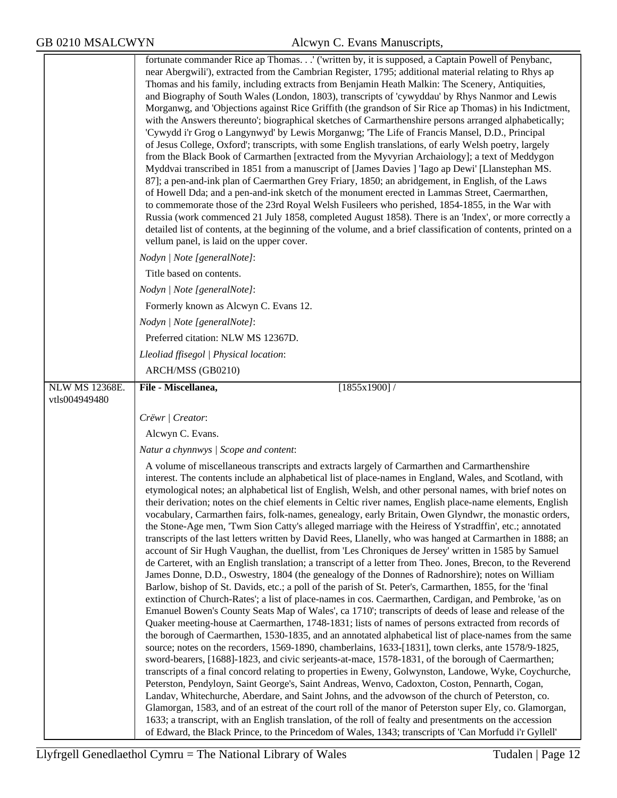|                       | fortunate commander Rice ap Thomas. ('written by, it is supposed, a Captain Powell of Penybanc,<br>near Abergwili'), extracted from the Cambrian Register, 1795; additional material relating to Rhys ap<br>Thomas and his family, including extracts from Benjamin Heath Malkin: The Scenery, Antiquities,<br>and Biography of South Wales (London, 1803), transcripts of 'cywyddau' by Rhys Nanmor and Lewis<br>Morganwg, and 'Objections against Rice Griffith (the grandson of Sir Rice ap Thomas) in his Indictment,<br>with the Answers thereunto'; biographical sketches of Carmarthenshire persons arranged alphabetically;<br>'Cywydd i'r Grog o Langynwyd' by Lewis Morganwg; 'The Life of Francis Mansel, D.D., Principal<br>of Jesus College, Oxford'; transcripts, with some English translations, of early Welsh poetry, largely<br>from the Black Book of Carmarthen [extracted from the Myvyrian Archaiology]; a text of Meddygon<br>Myddvai transcribed in 1851 from a manuscript of [James Davies ] 'Iago ap Dewi' [Llanstephan MS.<br>87]; a pen-and-ink plan of Caermarthen Grey Friary, 1850; an abridgement, in English, of the Laws<br>of Howell Dda; and a pen-and-ink sketch of the monument erected in Lammas Street, Caermarthen,<br>to commemorate those of the 23rd Royal Welsh Fusileers who perished, 1854-1855, in the War with<br>Russia (work commenced 21 July 1858, completed August 1858). There is an 'Index', or more correctly a<br>detailed list of contents, at the beginning of the volume, and a brief classification of contents, printed on a<br>vellum panel, is laid on the upper cover.                                                                                                                                                                                                                                                                                                                                                                                                                                                                                                                                                                                                                                                                                                                                                                                                                                                                           |
|-----------------------|--------------------------------------------------------------------------------------------------------------------------------------------------------------------------------------------------------------------------------------------------------------------------------------------------------------------------------------------------------------------------------------------------------------------------------------------------------------------------------------------------------------------------------------------------------------------------------------------------------------------------------------------------------------------------------------------------------------------------------------------------------------------------------------------------------------------------------------------------------------------------------------------------------------------------------------------------------------------------------------------------------------------------------------------------------------------------------------------------------------------------------------------------------------------------------------------------------------------------------------------------------------------------------------------------------------------------------------------------------------------------------------------------------------------------------------------------------------------------------------------------------------------------------------------------------------------------------------------------------------------------------------------------------------------------------------------------------------------------------------------------------------------------------------------------------------------------------------------------------------------------------------------------------------------------------------------------------------------------------------------------------------------------------------------------------------------------------------------------------------------------------------------------------------------------------------------------------------------------------------------------------------------------------------------------------------------------------------------------------------------------------------------------------------------------------------------------------------------------------------------------------------------|
|                       | Nodyn   Note [generalNote]:                                                                                                                                                                                                                                                                                                                                                                                                                                                                                                                                                                                                                                                                                                                                                                                                                                                                                                                                                                                                                                                                                                                                                                                                                                                                                                                                                                                                                                                                                                                                                                                                                                                                                                                                                                                                                                                                                                                                                                                                                                                                                                                                                                                                                                                                                                                                                                                                                                                                                        |
|                       | Title based on contents.<br>Nodyn   Note [generalNote]:                                                                                                                                                                                                                                                                                                                                                                                                                                                                                                                                                                                                                                                                                                                                                                                                                                                                                                                                                                                                                                                                                                                                                                                                                                                                                                                                                                                                                                                                                                                                                                                                                                                                                                                                                                                                                                                                                                                                                                                                                                                                                                                                                                                                                                                                                                                                                                                                                                                            |
|                       | Formerly known as Alcwyn C. Evans 12.                                                                                                                                                                                                                                                                                                                                                                                                                                                                                                                                                                                                                                                                                                                                                                                                                                                                                                                                                                                                                                                                                                                                                                                                                                                                                                                                                                                                                                                                                                                                                                                                                                                                                                                                                                                                                                                                                                                                                                                                                                                                                                                                                                                                                                                                                                                                                                                                                                                                              |
|                       | Nodyn   Note [generalNote]:                                                                                                                                                                                                                                                                                                                                                                                                                                                                                                                                                                                                                                                                                                                                                                                                                                                                                                                                                                                                                                                                                                                                                                                                                                                                                                                                                                                                                                                                                                                                                                                                                                                                                                                                                                                                                                                                                                                                                                                                                                                                                                                                                                                                                                                                                                                                                                                                                                                                                        |
|                       | Preferred citation: NLW MS 12367D.                                                                                                                                                                                                                                                                                                                                                                                                                                                                                                                                                                                                                                                                                                                                                                                                                                                                                                                                                                                                                                                                                                                                                                                                                                                                                                                                                                                                                                                                                                                                                                                                                                                                                                                                                                                                                                                                                                                                                                                                                                                                                                                                                                                                                                                                                                                                                                                                                                                                                 |
|                       | Lleoliad ffisegol   Physical location:                                                                                                                                                                                                                                                                                                                                                                                                                                                                                                                                                                                                                                                                                                                                                                                                                                                                                                                                                                                                                                                                                                                                                                                                                                                                                                                                                                                                                                                                                                                                                                                                                                                                                                                                                                                                                                                                                                                                                                                                                                                                                                                                                                                                                                                                                                                                                                                                                                                                             |
|                       | ARCH/MSS (GB0210)                                                                                                                                                                                                                                                                                                                                                                                                                                                                                                                                                                                                                                                                                                                                                                                                                                                                                                                                                                                                                                                                                                                                                                                                                                                                                                                                                                                                                                                                                                                                                                                                                                                                                                                                                                                                                                                                                                                                                                                                                                                                                                                                                                                                                                                                                                                                                                                                                                                                                                  |
| <b>NLW MS 12368E.</b> | File - Miscellanea,<br>$[1855x1900]$ /                                                                                                                                                                                                                                                                                                                                                                                                                                                                                                                                                                                                                                                                                                                                                                                                                                                                                                                                                                                                                                                                                                                                                                                                                                                                                                                                                                                                                                                                                                                                                                                                                                                                                                                                                                                                                                                                                                                                                                                                                                                                                                                                                                                                                                                                                                                                                                                                                                                                             |
| vtls004949480         |                                                                                                                                                                                                                                                                                                                                                                                                                                                                                                                                                                                                                                                                                                                                                                                                                                                                                                                                                                                                                                                                                                                                                                                                                                                                                                                                                                                                                                                                                                                                                                                                                                                                                                                                                                                                                                                                                                                                                                                                                                                                                                                                                                                                                                                                                                                                                                                                                                                                                                                    |
|                       | Crëwr   Creator:                                                                                                                                                                                                                                                                                                                                                                                                                                                                                                                                                                                                                                                                                                                                                                                                                                                                                                                                                                                                                                                                                                                                                                                                                                                                                                                                                                                                                                                                                                                                                                                                                                                                                                                                                                                                                                                                                                                                                                                                                                                                                                                                                                                                                                                                                                                                                                                                                                                                                                   |
|                       | Alcwyn C. Evans.                                                                                                                                                                                                                                                                                                                                                                                                                                                                                                                                                                                                                                                                                                                                                                                                                                                                                                                                                                                                                                                                                                                                                                                                                                                                                                                                                                                                                                                                                                                                                                                                                                                                                                                                                                                                                                                                                                                                                                                                                                                                                                                                                                                                                                                                                                                                                                                                                                                                                                   |
|                       | Natur a chynnwys / Scope and content:                                                                                                                                                                                                                                                                                                                                                                                                                                                                                                                                                                                                                                                                                                                                                                                                                                                                                                                                                                                                                                                                                                                                                                                                                                                                                                                                                                                                                                                                                                                                                                                                                                                                                                                                                                                                                                                                                                                                                                                                                                                                                                                                                                                                                                                                                                                                                                                                                                                                              |
|                       | A volume of miscellaneous transcripts and extracts largely of Carmarthen and Carmarthenshire<br>interest. The contents include an alphabetical list of place-names in England, Wales, and Scotland, with<br>etymological notes; an alphabetical list of English, Welsh, and other personal names, with brief notes on<br>their derivation; notes on the chief elements in Celtic river names, English place-name elements, English<br>vocabulary, Carmarthen fairs, folk-names, genealogy, early Britain, Owen Glyndwr, the monastic orders,<br>the Stone-Age men, 'Twm Sion Catty's alleged marriage with the Heiress of Ystradffin', etc.; annotated<br>transcripts of the last letters written by David Rees, Llanelly, who was hanged at Carmarthen in 1888; an<br>account of Sir Hugh Vaughan, the duellist, from 'Les Chroniques de Jersey' written in 1585 by Samuel<br>de Carteret, with an English translation; a transcript of a letter from Theo. Jones, Brecon, to the Reverend<br>James Donne, D.D., Oswestry, 1804 (the genealogy of the Donnes of Radnorshire); notes on William<br>Barlow, bishop of St. Davids, etc.; a poll of the parish of St. Peter's, Carmarthen, 1855, for the 'final<br>extinction of Church-Rates'; a list of place-names in cos. Caermarthen, Cardigan, and Pembroke, 'as on<br>Emanuel Bowen's County Seats Map of Wales', ca 1710'; transcripts of deeds of lease and release of the<br>Quaker meeting-house at Caermarthen, 1748-1831; lists of names of persons extracted from records of<br>the borough of Caermarthen, 1530-1835, and an annotated alphabetical list of place-names from the same<br>source; notes on the recorders, 1569-1890, chamberlains, 1633-[1831], town clerks, ante 1578/9-1825,<br>sword-bearers, [1688]-1823, and civic serjeants-at-mace, 1578-1831, of the borough of Caermarthen;<br>transcripts of a final concord relating to properties in Eweny, Golwynston, Landowe, Wyke, Coychurche,<br>Peterston, Pendyloyn, Saint George's, Saint Andreas, Wenvo, Cadoxton, Coston, Pennarth, Cogan,<br>Landav, Whitechurche, Aberdare, and Saint Johns, and the advowson of the church of Peterston, co.<br>Glamorgan, 1583, and of an estreat of the court roll of the manor of Peterston super Ely, co. Glamorgan,<br>1633; a transcript, with an English translation, of the roll of fealty and presentments on the accession<br>of Edward, the Black Prince, to the Princedom of Wales, 1343; transcripts of 'Can Morfudd i'r Gyllell' |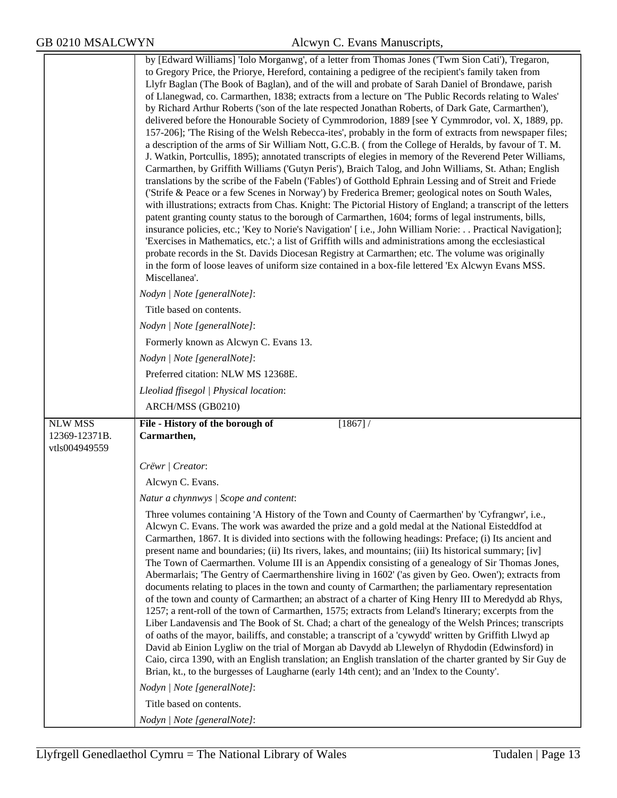|                                 | by [Edward Williams] 'Iolo Morganwg', of a letter from Thomas Jones ('Twm Sion Cati'), Tregaron,<br>to Gregory Price, the Priorye, Hereford, containing a pedigree of the recipient's family taken from<br>Llyfr Baglan (The Book of Baglan), and of the will and probate of Sarah Daniel of Brondawe, parish<br>of Llanegwad, co. Carmarthen, 1838; extracts from a lecture on 'The Public Records relating to Wales'<br>by Richard Arthur Roberts ('son of the late respected Jonathan Roberts, of Dark Gate, Carmarthen'),<br>delivered before the Honourable Society of Cymmrodorion, 1889 [see Y Cymmrodor, vol. X, 1889, pp.<br>157-206]; 'The Rising of the Welsh Rebecca-ites', probably in the form of extracts from newspaper files;<br>a description of the arms of Sir William Nott, G.C.B. (from the College of Heralds, by favour of T. M.<br>J. Watkin, Portcullis, 1895); annotated transcripts of elegies in memory of the Reverend Peter Williams,<br>Carmarthen, by Griffith Williams ('Gutyn Peris'), Braich Talog, and John Williams, St. Athan; English<br>translations by the scribe of the Fabeln ('Fables') of Gotthold Ephrain Lessing and of Streit and Friede<br>('Strife & Peace or a few Scenes in Norway') by Frederica Bremer; geological notes on South Wales,<br>with illustrations; extracts from Chas. Knight: The Pictorial History of England; a transcript of the letters<br>patent granting county status to the borough of Carmarthen, 1604; forms of legal instruments, bills,<br>insurance policies, etc.; 'Key to Norie's Navigation' [i.e., John William Norie: Practical Navigation];<br>'Exercises in Mathematics, etc.'; a list of Griffith wills and administrations among the ecclesiastical<br>probate records in the St. Davids Diocesan Registry at Carmarthen; etc. The volume was originally<br>in the form of loose leaves of uniform size contained in a box-file lettered 'Ex Alcwyn Evans MSS.<br>Miscellanea'.<br>Nodyn   Note [generalNote]:<br>Title based on contents.<br>Nodyn   Note [generalNote]:<br>Formerly known as Alcwyn C. Evans 13.<br>Nodyn   Note [generalNote]:<br>Preferred citation: NLW MS 12368E.<br>Lleoliad ffisegol   Physical location:<br>ARCH/MSS (GB0210) |
|---------------------------------|---------------------------------------------------------------------------------------------------------------------------------------------------------------------------------------------------------------------------------------------------------------------------------------------------------------------------------------------------------------------------------------------------------------------------------------------------------------------------------------------------------------------------------------------------------------------------------------------------------------------------------------------------------------------------------------------------------------------------------------------------------------------------------------------------------------------------------------------------------------------------------------------------------------------------------------------------------------------------------------------------------------------------------------------------------------------------------------------------------------------------------------------------------------------------------------------------------------------------------------------------------------------------------------------------------------------------------------------------------------------------------------------------------------------------------------------------------------------------------------------------------------------------------------------------------------------------------------------------------------------------------------------------------------------------------------------------------------------------------------------------------------------------------------------------------------------------------------------------------------------------------------------------------------------------------------------------------------------------------------------------------------------------------------------------------------------------------------------------------------------------------------------------------------------------------------------------------------------------------------------------|
| <b>NLW MSS</b><br>12369-12371B. | [1867] /<br>File - History of the borough of                                                                                                                                                                                                                                                                                                                                                                                                                                                                                                                                                                                                                                                                                                                                                                                                                                                                                                                                                                                                                                                                                                                                                                                                                                                                                                                                                                                                                                                                                                                                                                                                                                                                                                                                                                                                                                                                                                                                                                                                                                                                                                                                                                                                      |
| vtls004949559                   | Carmarthen,                                                                                                                                                                                                                                                                                                                                                                                                                                                                                                                                                                                                                                                                                                                                                                                                                                                                                                                                                                                                                                                                                                                                                                                                                                                                                                                                                                                                                                                                                                                                                                                                                                                                                                                                                                                                                                                                                                                                                                                                                                                                                                                                                                                                                                       |
|                                 | Crëwr   Creator:                                                                                                                                                                                                                                                                                                                                                                                                                                                                                                                                                                                                                                                                                                                                                                                                                                                                                                                                                                                                                                                                                                                                                                                                                                                                                                                                                                                                                                                                                                                                                                                                                                                                                                                                                                                                                                                                                                                                                                                                                                                                                                                                                                                                                                  |
|                                 | Alcwyn C. Evans.                                                                                                                                                                                                                                                                                                                                                                                                                                                                                                                                                                                                                                                                                                                                                                                                                                                                                                                                                                                                                                                                                                                                                                                                                                                                                                                                                                                                                                                                                                                                                                                                                                                                                                                                                                                                                                                                                                                                                                                                                                                                                                                                                                                                                                  |
|                                 | Natur a chynnwys / Scope and content:                                                                                                                                                                                                                                                                                                                                                                                                                                                                                                                                                                                                                                                                                                                                                                                                                                                                                                                                                                                                                                                                                                                                                                                                                                                                                                                                                                                                                                                                                                                                                                                                                                                                                                                                                                                                                                                                                                                                                                                                                                                                                                                                                                                                             |
|                                 | Three volumes containing 'A History of the Town and County of Caermarthen' by 'Cyfrangwr', i.e.,<br>Alcwyn C. Evans. The work was awarded the prize and a gold medal at the National Eisteddfod at<br>Carmarthen, 1867. It is divided into sections with the following headings: Preface; (i) Its ancient and<br>present name and boundaries; (ii) Its rivers, lakes, and mountains; (iii) Its historical summary; [iv]<br>The Town of Caermarthen. Volume III is an Appendix consisting of a genealogy of Sir Thomas Jones,<br>Abermarlais; 'The Gentry of Caermarthenshire living in 1602' ('as given by Geo. Owen'); extracts from<br>documents relating to places in the town and county of Carmarthen; the parliamentary representation<br>of the town and county of Carmarthen; an abstract of a charter of King Henry III to Meredydd ab Rhys,<br>1257; a rent-roll of the town of Carmarthen, 1575; extracts from Leland's Itinerary; excerpts from the<br>Liber Landavensis and The Book of St. Chad; a chart of the genealogy of the Welsh Princes; transcripts<br>of oaths of the mayor, bailiffs, and constable; a transcript of a 'cywydd' written by Griffith Llwyd ap<br>David ab Einion Lygliw on the trial of Morgan ab Davydd ab Llewelyn of Rhydodin (Edwinsford) in<br>Caio, circa 1390, with an English translation; an English translation of the charter granted by Sir Guy de<br>Brian, kt., to the burgesses of Laugharne (early 14th cent); and an 'Index to the County'.<br>Nodyn   Note [generalNote]:                                                                                                                                                                                                                                                                                                                                                                                                                                                                                                                                                                                                                                                                                                                |
|                                 | Title based on contents.                                                                                                                                                                                                                                                                                                                                                                                                                                                                                                                                                                                                                                                                                                                                                                                                                                                                                                                                                                                                                                                                                                                                                                                                                                                                                                                                                                                                                                                                                                                                                                                                                                                                                                                                                                                                                                                                                                                                                                                                                                                                                                                                                                                                                          |
|                                 | Nodyn   Note [generalNote]:                                                                                                                                                                                                                                                                                                                                                                                                                                                                                                                                                                                                                                                                                                                                                                                                                                                                                                                                                                                                                                                                                                                                                                                                                                                                                                                                                                                                                                                                                                                                                                                                                                                                                                                                                                                                                                                                                                                                                                                                                                                                                                                                                                                                                       |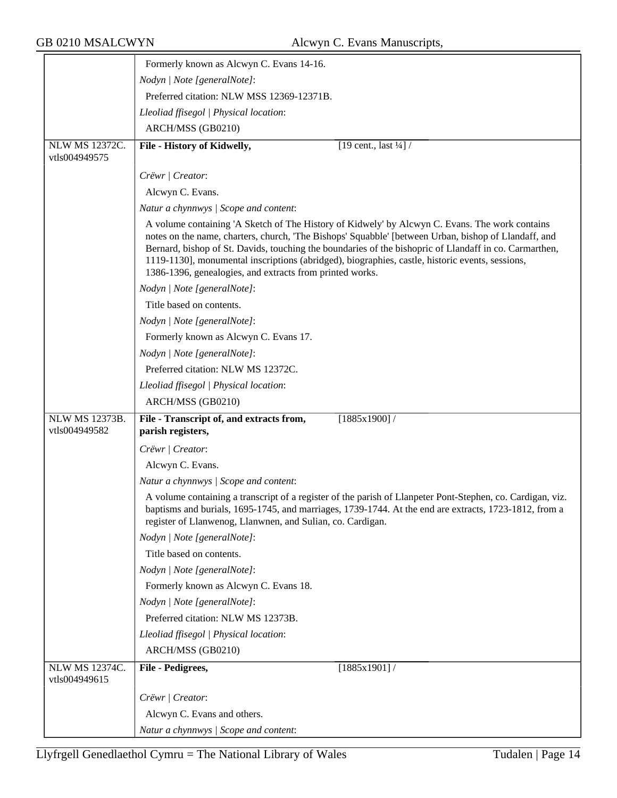|                                        | Formerly known as Alcwyn C. Evans 14-16.                                                                                                                                                                                                                                                                                                                                                                                                                                        |  |  |
|----------------------------------------|---------------------------------------------------------------------------------------------------------------------------------------------------------------------------------------------------------------------------------------------------------------------------------------------------------------------------------------------------------------------------------------------------------------------------------------------------------------------------------|--|--|
|                                        | Nodyn   Note [generalNote]:                                                                                                                                                                                                                                                                                                                                                                                                                                                     |  |  |
|                                        | Preferred citation: NLW MSS 12369-12371B.                                                                                                                                                                                                                                                                                                                                                                                                                                       |  |  |
|                                        | Lleoliad ffisegol   Physical location:                                                                                                                                                                                                                                                                                                                                                                                                                                          |  |  |
|                                        | ARCH/MSS (GB0210)                                                                                                                                                                                                                                                                                                                                                                                                                                                               |  |  |
| NLW MS 12372C.                         | [19 cent., last $\frac{1}{4}$ ] /<br>File - History of Kidwelly,                                                                                                                                                                                                                                                                                                                                                                                                                |  |  |
| vtls004949575                          |                                                                                                                                                                                                                                                                                                                                                                                                                                                                                 |  |  |
|                                        | Crëwr   Creator:                                                                                                                                                                                                                                                                                                                                                                                                                                                                |  |  |
|                                        | Alcwyn C. Evans.                                                                                                                                                                                                                                                                                                                                                                                                                                                                |  |  |
|                                        | Natur a chynnwys / Scope and content:                                                                                                                                                                                                                                                                                                                                                                                                                                           |  |  |
|                                        | A volume containing 'A Sketch of The History of Kidwely' by Alcwyn C. Evans. The work contains<br>notes on the name, charters, church, 'The Bishops' Squabble' [between Urban, bishop of Llandaff, and<br>Bernard, bishop of St. Davids, touching the boundaries of the bishopric of Llandaff in co. Carmarthen,<br>1119-1130], monumental inscriptions (abridged), biographies, castle, historic events, sessions,<br>1386-1396, genealogies, and extracts from printed works. |  |  |
|                                        | Nodyn   Note [generalNote]:                                                                                                                                                                                                                                                                                                                                                                                                                                                     |  |  |
|                                        | Title based on contents.                                                                                                                                                                                                                                                                                                                                                                                                                                                        |  |  |
|                                        | Nodyn   Note [generalNote]:                                                                                                                                                                                                                                                                                                                                                                                                                                                     |  |  |
|                                        | Formerly known as Alcwyn C. Evans 17.                                                                                                                                                                                                                                                                                                                                                                                                                                           |  |  |
|                                        | Nodyn   Note [generalNote]:                                                                                                                                                                                                                                                                                                                                                                                                                                                     |  |  |
|                                        | Preferred citation: NLW MS 12372C.                                                                                                                                                                                                                                                                                                                                                                                                                                              |  |  |
|                                        | Lleoliad ffisegol   Physical location:                                                                                                                                                                                                                                                                                                                                                                                                                                          |  |  |
|                                        | ARCH/MSS (GB0210)                                                                                                                                                                                                                                                                                                                                                                                                                                                               |  |  |
| <b>NLW MS 12373B.</b>                  | File - Transcript of, and extracts from,<br>$[1885x1900]$ /                                                                                                                                                                                                                                                                                                                                                                                                                     |  |  |
| vtls004949582                          | parish registers,                                                                                                                                                                                                                                                                                                                                                                                                                                                               |  |  |
|                                        | Crëwr   Creator:                                                                                                                                                                                                                                                                                                                                                                                                                                                                |  |  |
|                                        | Alcwyn C. Evans.                                                                                                                                                                                                                                                                                                                                                                                                                                                                |  |  |
|                                        | Natur a chynnwys / Scope and content:                                                                                                                                                                                                                                                                                                                                                                                                                                           |  |  |
|                                        | A volume containing a transcript of a register of the parish of Llanpeter Pont-Stephen, co. Cardigan, viz.<br>baptisms and burials, 1695-1745, and marriages, 1739-1744. At the end are extracts, 1723-1812, from a<br>register of Llanwenog, Llanwnen, and Sulian, co. Cardigan.                                                                                                                                                                                               |  |  |
|                                        | Nodyn   Note [generalNote]:                                                                                                                                                                                                                                                                                                                                                                                                                                                     |  |  |
|                                        | Title based on contents.                                                                                                                                                                                                                                                                                                                                                                                                                                                        |  |  |
|                                        | Nodyn   Note [generalNote]:                                                                                                                                                                                                                                                                                                                                                                                                                                                     |  |  |
|                                        | Formerly known as Alcwyn C. Evans 18.                                                                                                                                                                                                                                                                                                                                                                                                                                           |  |  |
|                                        | Nodyn   Note [generalNote]:                                                                                                                                                                                                                                                                                                                                                                                                                                                     |  |  |
|                                        | Preferred citation: NLW MS 12373B.                                                                                                                                                                                                                                                                                                                                                                                                                                              |  |  |
|                                        | Lleoliad ffisegol   Physical location:                                                                                                                                                                                                                                                                                                                                                                                                                                          |  |  |
|                                        | ARCH/MSS (GB0210)                                                                                                                                                                                                                                                                                                                                                                                                                                                               |  |  |
| <b>NLW MS 12374C.</b><br>vtls004949615 | [1885x1901]<br>File - Pedigrees,                                                                                                                                                                                                                                                                                                                                                                                                                                                |  |  |
|                                        | Crëwr   Creator:                                                                                                                                                                                                                                                                                                                                                                                                                                                                |  |  |
|                                        | Alcwyn C. Evans and others.                                                                                                                                                                                                                                                                                                                                                                                                                                                     |  |  |
|                                        | Natur a chynnwys / Scope and content:                                                                                                                                                                                                                                                                                                                                                                                                                                           |  |  |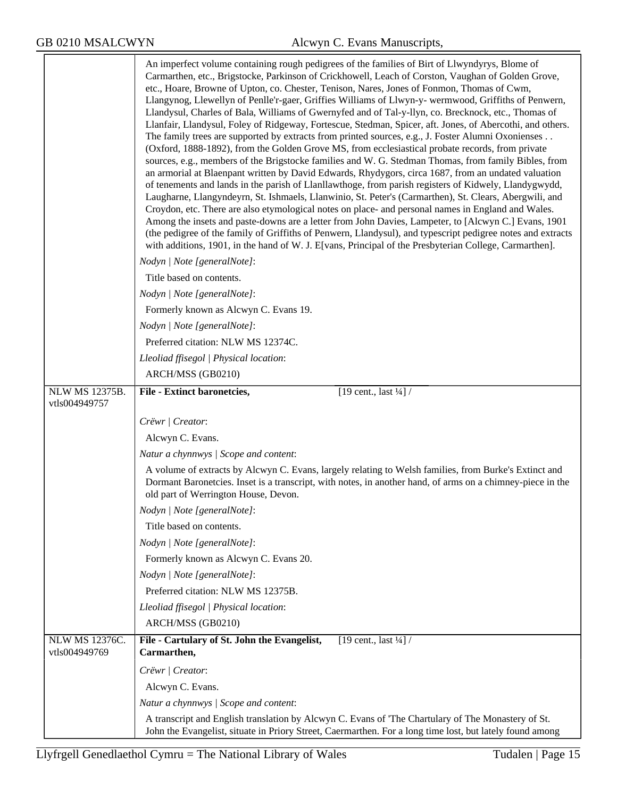|                                 | An imperfect volume containing rough pedigrees of the families of Birt of Llwyndyrys, Blome of<br>Carmarthen, etc., Brigstocke, Parkinson of Crickhowell, Leach of Corston, Vaughan of Golden Grove,<br>etc., Hoare, Browne of Upton, co. Chester, Tenison, Nares, Jones of Fonmon, Thomas of Cwm,<br>Llangynog, Llewellyn of Penlle'r-gaer, Griffies Williams of Llwyn-y- wermwood, Griffiths of Penwern,<br>Llandysul, Charles of Bala, Williams of Gwernyfed and of Tal-y-llyn, co. Brecknock, etc., Thomas of<br>Llanfair, Llandysul, Foley of Ridgeway, Fortescue, Stedman, Spicer, aft. Jones, of Abercothi, and others.<br>The family trees are supported by extracts from printed sources, e.g., J. Foster Alumni Oxonienses<br>(Oxford, 1888-1892), from the Golden Grove MS, from ecclesiastical probate records, from private<br>sources, e.g., members of the Brigstocke families and W. G. Stedman Thomas, from family Bibles, from<br>an armorial at Blaenpant written by David Edwards, Rhydygors, circa 1687, from an undated valuation<br>of tenements and lands in the parish of Llanllawthoge, from parish registers of Kidwely, Llandygwydd,<br>Laugharne, Llangyndeyrn, St. Ishmaels, Llanwinio, St. Peter's (Carmarthen), St. Clears, Abergwili, and<br>Croydon, etc. There are also etymological notes on place- and personal names in England and Wales.<br>Among the insets and paste-downs are a letter from John Davies, Lampeter, to [Alcwyn C.] Evans, 1901<br>(the pedigree of the family of Griffiths of Penwern, Llandysul), and typescript pedigree notes and extracts<br>with additions, 1901, in the hand of W. J. E[vans, Principal of the Presbyterian College, Carmarthen]. |
|---------------------------------|-------------------------------------------------------------------------------------------------------------------------------------------------------------------------------------------------------------------------------------------------------------------------------------------------------------------------------------------------------------------------------------------------------------------------------------------------------------------------------------------------------------------------------------------------------------------------------------------------------------------------------------------------------------------------------------------------------------------------------------------------------------------------------------------------------------------------------------------------------------------------------------------------------------------------------------------------------------------------------------------------------------------------------------------------------------------------------------------------------------------------------------------------------------------------------------------------------------------------------------------------------------------------------------------------------------------------------------------------------------------------------------------------------------------------------------------------------------------------------------------------------------------------------------------------------------------------------------------------------------------------------------------------------------------------------------------------------------------|
|                                 | Nodyn   Note [generalNote]:                                                                                                                                                                                                                                                                                                                                                                                                                                                                                                                                                                                                                                                                                                                                                                                                                                                                                                                                                                                                                                                                                                                                                                                                                                                                                                                                                                                                                                                                                                                                                                                                                                                                                       |
|                                 | Title based on contents.                                                                                                                                                                                                                                                                                                                                                                                                                                                                                                                                                                                                                                                                                                                                                                                                                                                                                                                                                                                                                                                                                                                                                                                                                                                                                                                                                                                                                                                                                                                                                                                                                                                                                          |
|                                 | Nodyn   Note [generalNote]:                                                                                                                                                                                                                                                                                                                                                                                                                                                                                                                                                                                                                                                                                                                                                                                                                                                                                                                                                                                                                                                                                                                                                                                                                                                                                                                                                                                                                                                                                                                                                                                                                                                                                       |
|                                 | Formerly known as Alcwyn C. Evans 19.                                                                                                                                                                                                                                                                                                                                                                                                                                                                                                                                                                                                                                                                                                                                                                                                                                                                                                                                                                                                                                                                                                                                                                                                                                                                                                                                                                                                                                                                                                                                                                                                                                                                             |
|                                 | Nodyn   Note [generalNote]:                                                                                                                                                                                                                                                                                                                                                                                                                                                                                                                                                                                                                                                                                                                                                                                                                                                                                                                                                                                                                                                                                                                                                                                                                                                                                                                                                                                                                                                                                                                                                                                                                                                                                       |
|                                 | Preferred citation: NLW MS 12374C.                                                                                                                                                                                                                                                                                                                                                                                                                                                                                                                                                                                                                                                                                                                                                                                                                                                                                                                                                                                                                                                                                                                                                                                                                                                                                                                                                                                                                                                                                                                                                                                                                                                                                |
|                                 | Lleoliad ffisegol   Physical location:                                                                                                                                                                                                                                                                                                                                                                                                                                                                                                                                                                                                                                                                                                                                                                                                                                                                                                                                                                                                                                                                                                                                                                                                                                                                                                                                                                                                                                                                                                                                                                                                                                                                            |
|                                 | ARCH/MSS (GB0210)                                                                                                                                                                                                                                                                                                                                                                                                                                                                                                                                                                                                                                                                                                                                                                                                                                                                                                                                                                                                                                                                                                                                                                                                                                                                                                                                                                                                                                                                                                                                                                                                                                                                                                 |
| <b>NLW MS 12375B.</b>           | [19 cent., last $\frac{1}{4}$ ] /<br><b>File - Extinct baronetcies,</b>                                                                                                                                                                                                                                                                                                                                                                                                                                                                                                                                                                                                                                                                                                                                                                                                                                                                                                                                                                                                                                                                                                                                                                                                                                                                                                                                                                                                                                                                                                                                                                                                                                           |
| vtls004949757                   |                                                                                                                                                                                                                                                                                                                                                                                                                                                                                                                                                                                                                                                                                                                                                                                                                                                                                                                                                                                                                                                                                                                                                                                                                                                                                                                                                                                                                                                                                                                                                                                                                                                                                                                   |
|                                 | Crëwr   Creator:                                                                                                                                                                                                                                                                                                                                                                                                                                                                                                                                                                                                                                                                                                                                                                                                                                                                                                                                                                                                                                                                                                                                                                                                                                                                                                                                                                                                                                                                                                                                                                                                                                                                                                  |
|                                 | Alcwyn C. Evans.                                                                                                                                                                                                                                                                                                                                                                                                                                                                                                                                                                                                                                                                                                                                                                                                                                                                                                                                                                                                                                                                                                                                                                                                                                                                                                                                                                                                                                                                                                                                                                                                                                                                                                  |
|                                 | Natur a chynnwys / Scope and content:                                                                                                                                                                                                                                                                                                                                                                                                                                                                                                                                                                                                                                                                                                                                                                                                                                                                                                                                                                                                                                                                                                                                                                                                                                                                                                                                                                                                                                                                                                                                                                                                                                                                             |
|                                 | A volume of extracts by Alcwyn C. Evans, largely relating to Welsh families, from Burke's Extinct and<br>Dormant Baronetcies. Inset is a transcript, with notes, in another hand, of arms on a chimney-piece in the<br>old part of Werrington House, Devon.                                                                                                                                                                                                                                                                                                                                                                                                                                                                                                                                                                                                                                                                                                                                                                                                                                                                                                                                                                                                                                                                                                                                                                                                                                                                                                                                                                                                                                                       |
|                                 | Nodyn   Note [generalNote]:                                                                                                                                                                                                                                                                                                                                                                                                                                                                                                                                                                                                                                                                                                                                                                                                                                                                                                                                                                                                                                                                                                                                                                                                                                                                                                                                                                                                                                                                                                                                                                                                                                                                                       |
|                                 | Title based on contents.                                                                                                                                                                                                                                                                                                                                                                                                                                                                                                                                                                                                                                                                                                                                                                                                                                                                                                                                                                                                                                                                                                                                                                                                                                                                                                                                                                                                                                                                                                                                                                                                                                                                                          |
|                                 | Nodyn   Note [generalNote]:                                                                                                                                                                                                                                                                                                                                                                                                                                                                                                                                                                                                                                                                                                                                                                                                                                                                                                                                                                                                                                                                                                                                                                                                                                                                                                                                                                                                                                                                                                                                                                                                                                                                                       |
|                                 | Formerly known as Alcwyn C. Evans 20.                                                                                                                                                                                                                                                                                                                                                                                                                                                                                                                                                                                                                                                                                                                                                                                                                                                                                                                                                                                                                                                                                                                                                                                                                                                                                                                                                                                                                                                                                                                                                                                                                                                                             |
|                                 | Nodyn   Note [generalNote]:                                                                                                                                                                                                                                                                                                                                                                                                                                                                                                                                                                                                                                                                                                                                                                                                                                                                                                                                                                                                                                                                                                                                                                                                                                                                                                                                                                                                                                                                                                                                                                                                                                                                                       |
|                                 | Preferred citation: NLW MS 12375B.                                                                                                                                                                                                                                                                                                                                                                                                                                                                                                                                                                                                                                                                                                                                                                                                                                                                                                                                                                                                                                                                                                                                                                                                                                                                                                                                                                                                                                                                                                                                                                                                                                                                                |
|                                 | Lleoliad ffisegol   Physical location:                                                                                                                                                                                                                                                                                                                                                                                                                                                                                                                                                                                                                                                                                                                                                                                                                                                                                                                                                                                                                                                                                                                                                                                                                                                                                                                                                                                                                                                                                                                                                                                                                                                                            |
|                                 | ARCH/MSS (GB0210)                                                                                                                                                                                                                                                                                                                                                                                                                                                                                                                                                                                                                                                                                                                                                                                                                                                                                                                                                                                                                                                                                                                                                                                                                                                                                                                                                                                                                                                                                                                                                                                                                                                                                                 |
| NLW MS 12376C.<br>vtls004949769 | File - Cartulary of St. John the Evangelist,<br>[19 cent., last $\frac{1}{4}$ ] /<br>Carmarthen,                                                                                                                                                                                                                                                                                                                                                                                                                                                                                                                                                                                                                                                                                                                                                                                                                                                                                                                                                                                                                                                                                                                                                                                                                                                                                                                                                                                                                                                                                                                                                                                                                  |
|                                 | Crëwr   Creator:                                                                                                                                                                                                                                                                                                                                                                                                                                                                                                                                                                                                                                                                                                                                                                                                                                                                                                                                                                                                                                                                                                                                                                                                                                                                                                                                                                                                                                                                                                                                                                                                                                                                                                  |
|                                 | Alcwyn C. Evans.                                                                                                                                                                                                                                                                                                                                                                                                                                                                                                                                                                                                                                                                                                                                                                                                                                                                                                                                                                                                                                                                                                                                                                                                                                                                                                                                                                                                                                                                                                                                                                                                                                                                                                  |
|                                 | Natur a chynnwys / Scope and content:                                                                                                                                                                                                                                                                                                                                                                                                                                                                                                                                                                                                                                                                                                                                                                                                                                                                                                                                                                                                                                                                                                                                                                                                                                                                                                                                                                                                                                                                                                                                                                                                                                                                             |
|                                 | A transcript and English translation by Alcwyn C. Evans of 'The Chartulary of The Monastery of St.<br>John the Evangelist, situate in Priory Street, Caermarthen. For a long time lost, but lately found among                                                                                                                                                                                                                                                                                                                                                                                                                                                                                                                                                                                                                                                                                                                                                                                                                                                                                                                                                                                                                                                                                                                                                                                                                                                                                                                                                                                                                                                                                                    |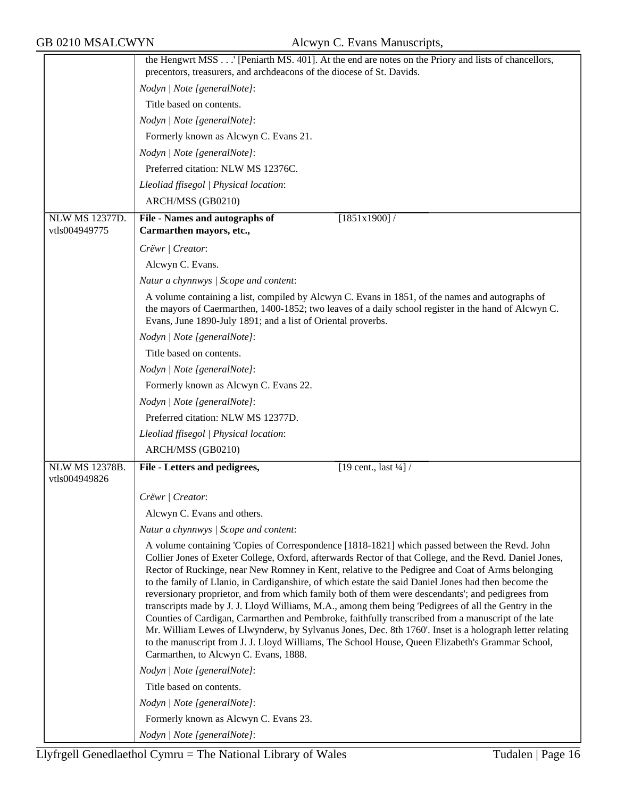|                                        | the Hengwrt MSS [Peniarth MS. 401]. At the end are notes on the Priory and lists of chancellors,                                                                                                                                                                                                                                                                                                                                                                                                                                                                                                                                                                                                                                                                                                                                                                                                                                                                                                 |
|----------------------------------------|--------------------------------------------------------------------------------------------------------------------------------------------------------------------------------------------------------------------------------------------------------------------------------------------------------------------------------------------------------------------------------------------------------------------------------------------------------------------------------------------------------------------------------------------------------------------------------------------------------------------------------------------------------------------------------------------------------------------------------------------------------------------------------------------------------------------------------------------------------------------------------------------------------------------------------------------------------------------------------------------------|
|                                        | precentors, treasurers, and archdeacons of the diocese of St. Davids.                                                                                                                                                                                                                                                                                                                                                                                                                                                                                                                                                                                                                                                                                                                                                                                                                                                                                                                            |
|                                        | Nodyn   Note [generalNote]:                                                                                                                                                                                                                                                                                                                                                                                                                                                                                                                                                                                                                                                                                                                                                                                                                                                                                                                                                                      |
|                                        | Title based on contents.                                                                                                                                                                                                                                                                                                                                                                                                                                                                                                                                                                                                                                                                                                                                                                                                                                                                                                                                                                         |
|                                        | Nodyn   Note [generalNote]:                                                                                                                                                                                                                                                                                                                                                                                                                                                                                                                                                                                                                                                                                                                                                                                                                                                                                                                                                                      |
|                                        | Formerly known as Alcwyn C. Evans 21.                                                                                                                                                                                                                                                                                                                                                                                                                                                                                                                                                                                                                                                                                                                                                                                                                                                                                                                                                            |
|                                        | Nodyn   Note [generalNote]:                                                                                                                                                                                                                                                                                                                                                                                                                                                                                                                                                                                                                                                                                                                                                                                                                                                                                                                                                                      |
|                                        | Preferred citation: NLW MS 12376C.                                                                                                                                                                                                                                                                                                                                                                                                                                                                                                                                                                                                                                                                                                                                                                                                                                                                                                                                                               |
|                                        | Lleoliad ffisegol   Physical location:                                                                                                                                                                                                                                                                                                                                                                                                                                                                                                                                                                                                                                                                                                                                                                                                                                                                                                                                                           |
|                                        | ARCH/MSS (GB0210)                                                                                                                                                                                                                                                                                                                                                                                                                                                                                                                                                                                                                                                                                                                                                                                                                                                                                                                                                                                |
| <b>NLW MS 12377D.</b><br>vtls004949775 | File - Names and autographs of<br>$[1851x1900]$ /<br>Carmarthen mayors, etc.,                                                                                                                                                                                                                                                                                                                                                                                                                                                                                                                                                                                                                                                                                                                                                                                                                                                                                                                    |
|                                        | Crëwr   Creator:                                                                                                                                                                                                                                                                                                                                                                                                                                                                                                                                                                                                                                                                                                                                                                                                                                                                                                                                                                                 |
|                                        | Alcwyn C. Evans.                                                                                                                                                                                                                                                                                                                                                                                                                                                                                                                                                                                                                                                                                                                                                                                                                                                                                                                                                                                 |
|                                        | Natur a chynnwys / Scope and content:                                                                                                                                                                                                                                                                                                                                                                                                                                                                                                                                                                                                                                                                                                                                                                                                                                                                                                                                                            |
|                                        | A volume containing a list, compiled by Alcwyn C. Evans in 1851, of the names and autographs of<br>the mayors of Caermarthen, 1400-1852; two leaves of a daily school register in the hand of Alcwyn C.<br>Evans, June 1890-July 1891; and a list of Oriental proverbs.                                                                                                                                                                                                                                                                                                                                                                                                                                                                                                                                                                                                                                                                                                                          |
|                                        | Nodyn   Note [generalNote]:                                                                                                                                                                                                                                                                                                                                                                                                                                                                                                                                                                                                                                                                                                                                                                                                                                                                                                                                                                      |
|                                        | Title based on contents.                                                                                                                                                                                                                                                                                                                                                                                                                                                                                                                                                                                                                                                                                                                                                                                                                                                                                                                                                                         |
|                                        | Nodyn   Note [generalNote]:                                                                                                                                                                                                                                                                                                                                                                                                                                                                                                                                                                                                                                                                                                                                                                                                                                                                                                                                                                      |
|                                        | Formerly known as Alcwyn C. Evans 22.                                                                                                                                                                                                                                                                                                                                                                                                                                                                                                                                                                                                                                                                                                                                                                                                                                                                                                                                                            |
|                                        | Nodyn   Note [generalNote]:                                                                                                                                                                                                                                                                                                                                                                                                                                                                                                                                                                                                                                                                                                                                                                                                                                                                                                                                                                      |
|                                        | Preferred citation: NLW MS 12377D.                                                                                                                                                                                                                                                                                                                                                                                                                                                                                                                                                                                                                                                                                                                                                                                                                                                                                                                                                               |
|                                        | Lleoliad ffisegol   Physical location:                                                                                                                                                                                                                                                                                                                                                                                                                                                                                                                                                                                                                                                                                                                                                                                                                                                                                                                                                           |
|                                        | ARCH/MSS (GB0210)                                                                                                                                                                                                                                                                                                                                                                                                                                                                                                                                                                                                                                                                                                                                                                                                                                                                                                                                                                                |
| <b>NLW MS 12378B.</b><br>vtls004949826 | File - Letters and pedigrees,<br>[19 cent., last $\frac{1}{4}$ ] /                                                                                                                                                                                                                                                                                                                                                                                                                                                                                                                                                                                                                                                                                                                                                                                                                                                                                                                               |
|                                        | Crëwr   Creator:                                                                                                                                                                                                                                                                                                                                                                                                                                                                                                                                                                                                                                                                                                                                                                                                                                                                                                                                                                                 |
|                                        | Alcwyn C. Evans and others.                                                                                                                                                                                                                                                                                                                                                                                                                                                                                                                                                                                                                                                                                                                                                                                                                                                                                                                                                                      |
|                                        | Natur a chynnwys / Scope and content:                                                                                                                                                                                                                                                                                                                                                                                                                                                                                                                                                                                                                                                                                                                                                                                                                                                                                                                                                            |
|                                        | A volume containing 'Copies of Correspondence [1818-1821] which passed between the Revd. John<br>Collier Jones of Exeter College, Oxford, afterwards Rector of that College, and the Revd. Daniel Jones,<br>Rector of Ruckinge, near New Romney in Kent, relative to the Pedigree and Coat of Arms belonging<br>to the family of Llanio, in Cardiganshire, of which estate the said Daniel Jones had then become the<br>reversionary proprietor, and from which family both of them were descendants'; and pedigrees from<br>transcripts made by J. J. Lloyd Williams, M.A., among them being 'Pedigrees of all the Gentry in the<br>Counties of Cardigan, Carmarthen and Pembroke, faithfully transcribed from a manuscript of the late<br>Mr. William Lewes of Llwynderw, by Sylvanus Jones, Dec. 8th 1760'. Inset is a holograph letter relating<br>to the manuscript from J. J. Lloyd Williams, The School House, Queen Elizabeth's Grammar School,<br>Carmarthen, to Alcwyn C. Evans, 1888. |
|                                        | Nodyn   Note [generalNote]:                                                                                                                                                                                                                                                                                                                                                                                                                                                                                                                                                                                                                                                                                                                                                                                                                                                                                                                                                                      |
|                                        | Title based on contents.                                                                                                                                                                                                                                                                                                                                                                                                                                                                                                                                                                                                                                                                                                                                                                                                                                                                                                                                                                         |
|                                        | Nodyn   Note [generalNote]:                                                                                                                                                                                                                                                                                                                                                                                                                                                                                                                                                                                                                                                                                                                                                                                                                                                                                                                                                                      |
|                                        | Formerly known as Alcwyn C. Evans 23.                                                                                                                                                                                                                                                                                                                                                                                                                                                                                                                                                                                                                                                                                                                                                                                                                                                                                                                                                            |
|                                        | Nodyn   Note [generalNote]:                                                                                                                                                                                                                                                                                                                                                                                                                                                                                                                                                                                                                                                                                                                                                                                                                                                                                                                                                                      |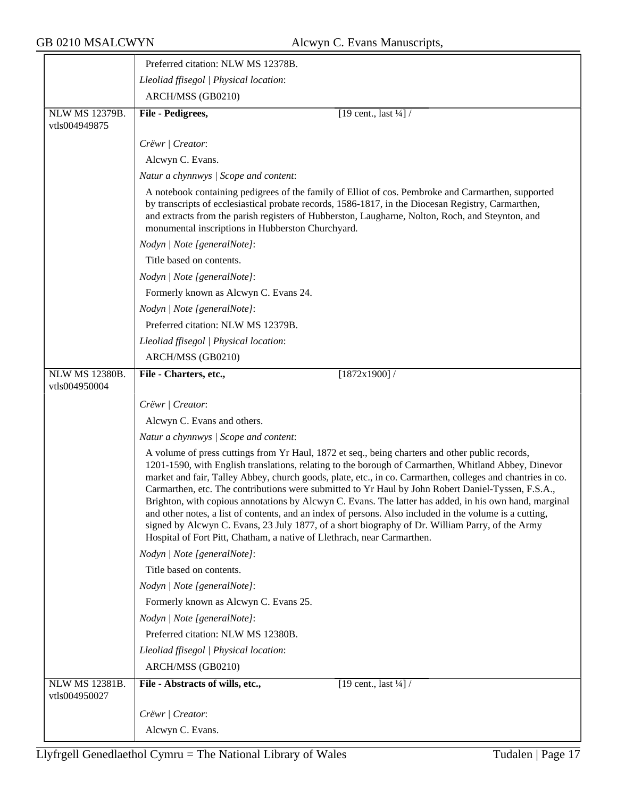|                                        | Preferred citation: NLW MS 12378B.                                                                                                                                                                                                                                                                                                                                                                                                                                                                                                                                                                                                                                                                                                                                                                                             |
|----------------------------------------|--------------------------------------------------------------------------------------------------------------------------------------------------------------------------------------------------------------------------------------------------------------------------------------------------------------------------------------------------------------------------------------------------------------------------------------------------------------------------------------------------------------------------------------------------------------------------------------------------------------------------------------------------------------------------------------------------------------------------------------------------------------------------------------------------------------------------------|
|                                        | Lleoliad ffisegol   Physical location:                                                                                                                                                                                                                                                                                                                                                                                                                                                                                                                                                                                                                                                                                                                                                                                         |
|                                        | ARCH/MSS (GB0210)                                                                                                                                                                                                                                                                                                                                                                                                                                                                                                                                                                                                                                                                                                                                                                                                              |
| <b>NLW MS 12379B.</b><br>vtls004949875 | File - Pedigrees,<br>[19 cent., last $\frac{1}{4}$ ] /                                                                                                                                                                                                                                                                                                                                                                                                                                                                                                                                                                                                                                                                                                                                                                         |
|                                        | Crëwr   Creator:                                                                                                                                                                                                                                                                                                                                                                                                                                                                                                                                                                                                                                                                                                                                                                                                               |
|                                        | Alcwyn C. Evans.                                                                                                                                                                                                                                                                                                                                                                                                                                                                                                                                                                                                                                                                                                                                                                                                               |
|                                        | Natur a chynnwys / Scope and content:                                                                                                                                                                                                                                                                                                                                                                                                                                                                                                                                                                                                                                                                                                                                                                                          |
|                                        | A notebook containing pedigrees of the family of Elliot of cos. Pembroke and Carmarthen, supported<br>by transcripts of ecclesiastical probate records, 1586-1817, in the Diocesan Registry, Carmarthen,<br>and extracts from the parish registers of Hubberston, Laugharne, Nolton, Roch, and Steynton, and<br>monumental inscriptions in Hubberston Churchyard.                                                                                                                                                                                                                                                                                                                                                                                                                                                              |
|                                        | Nodyn   Note [generalNote]:                                                                                                                                                                                                                                                                                                                                                                                                                                                                                                                                                                                                                                                                                                                                                                                                    |
|                                        | Title based on contents.                                                                                                                                                                                                                                                                                                                                                                                                                                                                                                                                                                                                                                                                                                                                                                                                       |
|                                        | Nodyn   Note [generalNote]:                                                                                                                                                                                                                                                                                                                                                                                                                                                                                                                                                                                                                                                                                                                                                                                                    |
|                                        | Formerly known as Alcwyn C. Evans 24.                                                                                                                                                                                                                                                                                                                                                                                                                                                                                                                                                                                                                                                                                                                                                                                          |
|                                        | Nodyn   Note [generalNote]:                                                                                                                                                                                                                                                                                                                                                                                                                                                                                                                                                                                                                                                                                                                                                                                                    |
|                                        | Preferred citation: NLW MS 12379B.                                                                                                                                                                                                                                                                                                                                                                                                                                                                                                                                                                                                                                                                                                                                                                                             |
|                                        | Lleoliad ffisegol   Physical location:                                                                                                                                                                                                                                                                                                                                                                                                                                                                                                                                                                                                                                                                                                                                                                                         |
|                                        | ARCH/MSS (GB0210)                                                                                                                                                                                                                                                                                                                                                                                                                                                                                                                                                                                                                                                                                                                                                                                                              |
| <b>NLW MS 12380B.</b><br>vtls004950004 | File - Charters, etc.,<br>$[1872x1900]$ /                                                                                                                                                                                                                                                                                                                                                                                                                                                                                                                                                                                                                                                                                                                                                                                      |
|                                        | Crëwr   Creator:                                                                                                                                                                                                                                                                                                                                                                                                                                                                                                                                                                                                                                                                                                                                                                                                               |
|                                        | Alcwyn C. Evans and others.                                                                                                                                                                                                                                                                                                                                                                                                                                                                                                                                                                                                                                                                                                                                                                                                    |
|                                        | Natur a chynnwys / Scope and content:                                                                                                                                                                                                                                                                                                                                                                                                                                                                                                                                                                                                                                                                                                                                                                                          |
|                                        | A volume of press cuttings from Yr Haul, 1872 et seq., being charters and other public records,<br>1201-1590, with English translations, relating to the borough of Carmarthen, Whitland Abbey, Dinevor<br>market and fair, Talley Abbey, church goods, plate, etc., in co. Carmarthen, colleges and chantries in co.<br>Carmarthen, etc. The contributions were submitted to Yr Haul by John Robert Daniel-Tyssen, F.S.A.,<br>Brighton, with copious annotations by Alcwyn C. Evans. The latter has added, in his own hand, marginal<br>and other notes, a list of contents, and an index of persons. Also included in the volume is a cutting,<br>signed by Alcwyn C. Evans, 23 July 1877, of a short biography of Dr. William Parry, of the Army<br>Hospital of Fort Pitt, Chatham, a native of Llethrach, near Carmarthen. |
|                                        | Nodyn   Note [generalNote]:                                                                                                                                                                                                                                                                                                                                                                                                                                                                                                                                                                                                                                                                                                                                                                                                    |
|                                        | Title based on contents.                                                                                                                                                                                                                                                                                                                                                                                                                                                                                                                                                                                                                                                                                                                                                                                                       |
|                                        | Nodyn   Note [generalNote]:                                                                                                                                                                                                                                                                                                                                                                                                                                                                                                                                                                                                                                                                                                                                                                                                    |
|                                        | Formerly known as Alcwyn C. Evans 25.                                                                                                                                                                                                                                                                                                                                                                                                                                                                                                                                                                                                                                                                                                                                                                                          |
|                                        | Nodyn   Note [generalNote]:                                                                                                                                                                                                                                                                                                                                                                                                                                                                                                                                                                                                                                                                                                                                                                                                    |
|                                        | Preferred citation: NLW MS 12380B.                                                                                                                                                                                                                                                                                                                                                                                                                                                                                                                                                                                                                                                                                                                                                                                             |
|                                        | Lleoliad ffisegol   Physical location:                                                                                                                                                                                                                                                                                                                                                                                                                                                                                                                                                                                                                                                                                                                                                                                         |
|                                        | ARCH/MSS (GB0210)                                                                                                                                                                                                                                                                                                                                                                                                                                                                                                                                                                                                                                                                                                                                                                                                              |
| NLW MS 12381B.<br>vtls004950027        | [19 cent., last $\frac{1}{4}$ ] /<br>File - Abstracts of wills, etc.,                                                                                                                                                                                                                                                                                                                                                                                                                                                                                                                                                                                                                                                                                                                                                          |
|                                        | Crëwr   Creator:                                                                                                                                                                                                                                                                                                                                                                                                                                                                                                                                                                                                                                                                                                                                                                                                               |
|                                        | Alcwyn C. Evans.                                                                                                                                                                                                                                                                                                                                                                                                                                                                                                                                                                                                                                                                                                                                                                                                               |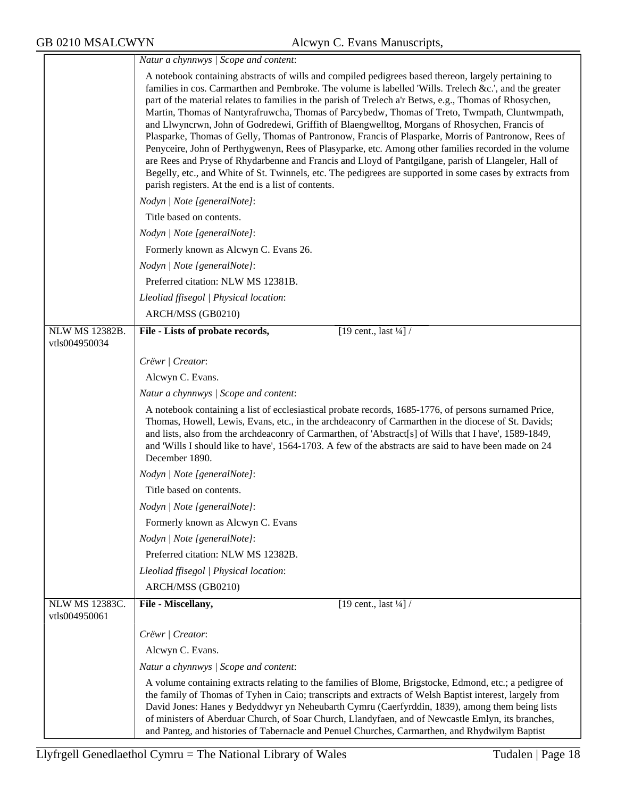<u> Tanzania (h. 1888).</u>

|                                 | Natur a chynnwys / Scope and content:                                                                                                                                                                                                                                                                                                                                                                                                                                                                                                                                                                                                                                                                                                                                                                                                                                                                                                                                                                                   |
|---------------------------------|-------------------------------------------------------------------------------------------------------------------------------------------------------------------------------------------------------------------------------------------------------------------------------------------------------------------------------------------------------------------------------------------------------------------------------------------------------------------------------------------------------------------------------------------------------------------------------------------------------------------------------------------------------------------------------------------------------------------------------------------------------------------------------------------------------------------------------------------------------------------------------------------------------------------------------------------------------------------------------------------------------------------------|
|                                 | A notebook containing abstracts of wills and compiled pedigrees based thereon, largely pertaining to<br>families in cos. Carmarthen and Pembroke. The volume is labelled 'Wills. Trelech &c.', and the greater<br>part of the material relates to families in the parish of Trelech a'r Betws, e.g., Thomas of Rhosychen,<br>Martin, Thomas of Nantyrafruwcha, Thomas of Parcybedw, Thomas of Treto, Twmpath, Cluntwmpath,<br>and Llwyncrwn, John of Godredewi, Griffith of Blaengwelltog, Morgans of Rhosychen, Francis of<br>Plasparke, Thomas of Gelly, Thomas of Pantronow, Francis of Plasparke, Morris of Pantronow, Rees of<br>Penyceire, John of Perthygwenyn, Rees of Plasyparke, etc. Among other families recorded in the volume<br>are Rees and Pryse of Rhydarbenne and Francis and Lloyd of Pantgilgane, parish of Llangeler, Hall of<br>Begelly, etc., and White of St. Twinnels, etc. The pedigrees are supported in some cases by extracts from<br>parish registers. At the end is a list of contents. |
|                                 | Nodyn   Note [generalNote]:                                                                                                                                                                                                                                                                                                                                                                                                                                                                                                                                                                                                                                                                                                                                                                                                                                                                                                                                                                                             |
|                                 | Title based on contents.                                                                                                                                                                                                                                                                                                                                                                                                                                                                                                                                                                                                                                                                                                                                                                                                                                                                                                                                                                                                |
|                                 | Nodyn   Note [generalNote]:                                                                                                                                                                                                                                                                                                                                                                                                                                                                                                                                                                                                                                                                                                                                                                                                                                                                                                                                                                                             |
|                                 | Formerly known as Alcwyn C. Evans 26.                                                                                                                                                                                                                                                                                                                                                                                                                                                                                                                                                                                                                                                                                                                                                                                                                                                                                                                                                                                   |
|                                 | Nodyn   Note [generalNote]:                                                                                                                                                                                                                                                                                                                                                                                                                                                                                                                                                                                                                                                                                                                                                                                                                                                                                                                                                                                             |
|                                 | Preferred citation: NLW MS 12381B.                                                                                                                                                                                                                                                                                                                                                                                                                                                                                                                                                                                                                                                                                                                                                                                                                                                                                                                                                                                      |
|                                 | Lleoliad ffisegol   Physical location:                                                                                                                                                                                                                                                                                                                                                                                                                                                                                                                                                                                                                                                                                                                                                                                                                                                                                                                                                                                  |
|                                 | ARCH/MSS (GB0210)                                                                                                                                                                                                                                                                                                                                                                                                                                                                                                                                                                                                                                                                                                                                                                                                                                                                                                                                                                                                       |
| <b>NLW MS 12382B.</b>           | File - Lists of probate records,<br>[19 cent., last $\frac{1}{4}$ ] /                                                                                                                                                                                                                                                                                                                                                                                                                                                                                                                                                                                                                                                                                                                                                                                                                                                                                                                                                   |
| vtls004950034                   |                                                                                                                                                                                                                                                                                                                                                                                                                                                                                                                                                                                                                                                                                                                                                                                                                                                                                                                                                                                                                         |
|                                 | Crëwr   Creator:                                                                                                                                                                                                                                                                                                                                                                                                                                                                                                                                                                                                                                                                                                                                                                                                                                                                                                                                                                                                        |
|                                 | Alcwyn C. Evans.                                                                                                                                                                                                                                                                                                                                                                                                                                                                                                                                                                                                                                                                                                                                                                                                                                                                                                                                                                                                        |
|                                 | Natur a chynnwys / Scope and content:                                                                                                                                                                                                                                                                                                                                                                                                                                                                                                                                                                                                                                                                                                                                                                                                                                                                                                                                                                                   |
|                                 | A notebook containing a list of ecclesiastical probate records, 1685-1776, of persons surnamed Price,<br>Thomas, Howell, Lewis, Evans, etc., in the archdeaconry of Carmarthen in the diocese of St. Davids;<br>and lists, also from the archdeaconry of Carmarthen, of 'Abstract[s] of Wills that I have', 1589-1849,<br>and 'Wills I should like to have', 1564-1703. A few of the abstracts are said to have been made on 24<br>December 1890.                                                                                                                                                                                                                                                                                                                                                                                                                                                                                                                                                                       |
|                                 | Nodyn   Note [generalNote]:                                                                                                                                                                                                                                                                                                                                                                                                                                                                                                                                                                                                                                                                                                                                                                                                                                                                                                                                                                                             |
|                                 | Title based on contents.                                                                                                                                                                                                                                                                                                                                                                                                                                                                                                                                                                                                                                                                                                                                                                                                                                                                                                                                                                                                |
|                                 | Nodyn   Note [generalNote]:                                                                                                                                                                                                                                                                                                                                                                                                                                                                                                                                                                                                                                                                                                                                                                                                                                                                                                                                                                                             |
|                                 | Formerly known as Alcwyn C. Evans                                                                                                                                                                                                                                                                                                                                                                                                                                                                                                                                                                                                                                                                                                                                                                                                                                                                                                                                                                                       |
|                                 | Nodyn   Note [generalNote]:                                                                                                                                                                                                                                                                                                                                                                                                                                                                                                                                                                                                                                                                                                                                                                                                                                                                                                                                                                                             |
|                                 | Preferred citation: NLW MS 12382B.                                                                                                                                                                                                                                                                                                                                                                                                                                                                                                                                                                                                                                                                                                                                                                                                                                                                                                                                                                                      |
|                                 | Lleoliad ffisegol   Physical location:                                                                                                                                                                                                                                                                                                                                                                                                                                                                                                                                                                                                                                                                                                                                                                                                                                                                                                                                                                                  |
|                                 | ARCH/MSS (GB0210)                                                                                                                                                                                                                                                                                                                                                                                                                                                                                                                                                                                                                                                                                                                                                                                                                                                                                                                                                                                                       |
| NLW MS 12383C.<br>vtls004950061 | [19 cent., last $\frac{1}{4}$ ] /<br>File - Miscellany,                                                                                                                                                                                                                                                                                                                                                                                                                                                                                                                                                                                                                                                                                                                                                                                                                                                                                                                                                                 |
|                                 | Crëwr   Creator:                                                                                                                                                                                                                                                                                                                                                                                                                                                                                                                                                                                                                                                                                                                                                                                                                                                                                                                                                                                                        |
|                                 | Alcwyn C. Evans.                                                                                                                                                                                                                                                                                                                                                                                                                                                                                                                                                                                                                                                                                                                                                                                                                                                                                                                                                                                                        |
|                                 | Natur a chynnwys / Scope and content:                                                                                                                                                                                                                                                                                                                                                                                                                                                                                                                                                                                                                                                                                                                                                                                                                                                                                                                                                                                   |
|                                 | A volume containing extracts relating to the families of Blome, Brigstocke, Edmond, etc.; a pedigree of<br>the family of Thomas of Tyhen in Caio; transcripts and extracts of Welsh Baptist interest, largely from<br>David Jones: Hanes y Bedyddwyr yn Neheubarth Cymru (Caerfyrddin, 1839), among them being lists<br>of ministers of Aberduar Church, of Soar Church, Llandyfaen, and of Newcastle Emlyn, its branches,<br>and Panteg, and histories of Tabernacle and Penuel Churches, Carmarthen, and Rhydwilym Baptist                                                                                                                                                                                                                                                                                                                                                                                                                                                                                            |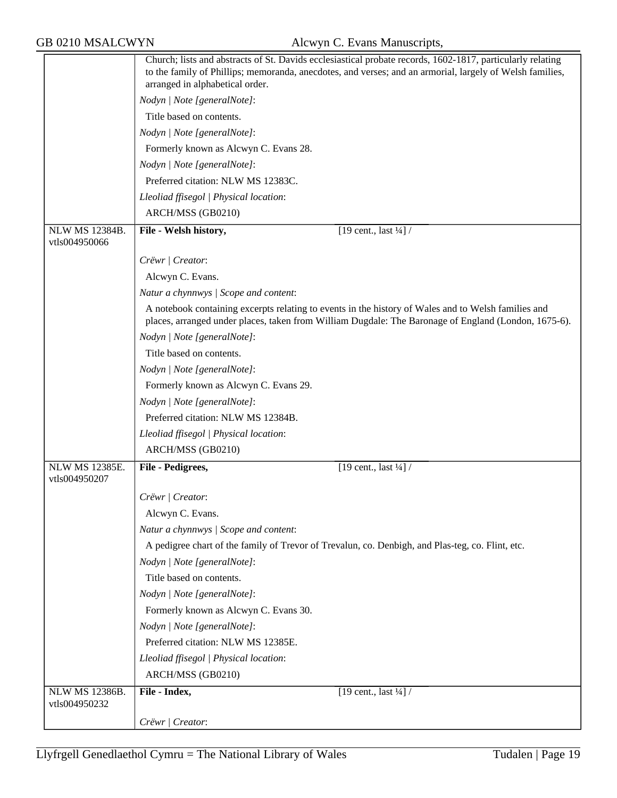| GB 0210 MSALCWYN                       | Alcwyn C. Evans Manuscripts,                                                                                                                                                                                                                              |
|----------------------------------------|-----------------------------------------------------------------------------------------------------------------------------------------------------------------------------------------------------------------------------------------------------------|
|                                        | Church; lists and abstracts of St. Davids ecclesiastical probate records, 1602-1817, particularly relating<br>to the family of Phillips; memoranda, anecdotes, and verses; and an armorial, largely of Welsh families,<br>arranged in alphabetical order. |
|                                        | Nodyn   Note [generalNote]:                                                                                                                                                                                                                               |
|                                        | Title based on contents.                                                                                                                                                                                                                                  |
|                                        | Nodyn   Note [generalNote]:                                                                                                                                                                                                                               |
|                                        | Formerly known as Alcwyn C. Evans 28.                                                                                                                                                                                                                     |
|                                        | Nodyn   Note [generalNote]:                                                                                                                                                                                                                               |
|                                        | Preferred citation: NLW MS 12383C.                                                                                                                                                                                                                        |
|                                        | Lleoliad ffisegol   Physical location:                                                                                                                                                                                                                    |
|                                        | ARCH/MSS (GB0210)                                                                                                                                                                                                                                         |
| <b>NLW MS 12384B.</b><br>vtls004950066 | [19 cent., last $\frac{1}{4}$ ] /<br>File - Welsh history,                                                                                                                                                                                                |
|                                        | Crëwr   Creator:                                                                                                                                                                                                                                          |
|                                        | Alcwyn C. Evans.                                                                                                                                                                                                                                          |
|                                        | Natur a chynnwys / Scope and content:                                                                                                                                                                                                                     |
|                                        | A notebook containing excerpts relating to events in the history of Wales and to Welsh families and<br>places, arranged under places, taken from William Dugdale: The Baronage of England (London, 1675-6).                                               |
|                                        | Nodyn   Note [generalNote]:                                                                                                                                                                                                                               |
|                                        | Title based on contents.                                                                                                                                                                                                                                  |
|                                        | Nodyn   Note [generalNote]:                                                                                                                                                                                                                               |
|                                        | Formerly known as Alcwyn C. Evans 29.                                                                                                                                                                                                                     |
|                                        | Nodyn   Note [generalNote]:                                                                                                                                                                                                                               |
|                                        | Preferred citation: NLW MS 12384B.                                                                                                                                                                                                                        |
|                                        | Lleoliad ffisegol   Physical location:                                                                                                                                                                                                                    |
|                                        | ARCH/MSS (GB0210)                                                                                                                                                                                                                                         |
| <b>NLW MS 12385E.</b><br>vtls004950207 | File - Pedigrees,<br>[19 cent., last $\frac{1}{4}$ ] /                                                                                                                                                                                                    |
|                                        | Crëwr   Creator:                                                                                                                                                                                                                                          |
|                                        | Alcwyn C. Evans.                                                                                                                                                                                                                                          |
|                                        | Natur a chynnwys / Scope and content:                                                                                                                                                                                                                     |
|                                        | A pedigree chart of the family of Trevor of Trevalun, co. Denbigh, and Plas-teg, co. Flint, etc.                                                                                                                                                          |
|                                        | Nodyn   Note [generalNote]:                                                                                                                                                                                                                               |
|                                        | Title based on contents.                                                                                                                                                                                                                                  |
|                                        | Nodyn   Note [generalNote]:                                                                                                                                                                                                                               |
|                                        | Formerly known as Alcwyn C. Evans 30.                                                                                                                                                                                                                     |
|                                        | Nodyn   Note [generalNote]:                                                                                                                                                                                                                               |
|                                        | Preferred citation: NLW MS 12385E.                                                                                                                                                                                                                        |
|                                        | Lleoliad ffisegol   Physical location:                                                                                                                                                                                                                    |
|                                        | ARCH/MSS (GB0210)                                                                                                                                                                                                                                         |
| NLW MS 12386B.<br>vtls004950232        | [19 cent., last $\frac{1}{4}$ ] /<br>File - Index,                                                                                                                                                                                                        |
|                                        | Crëwr / Creator:                                                                                                                                                                                                                                          |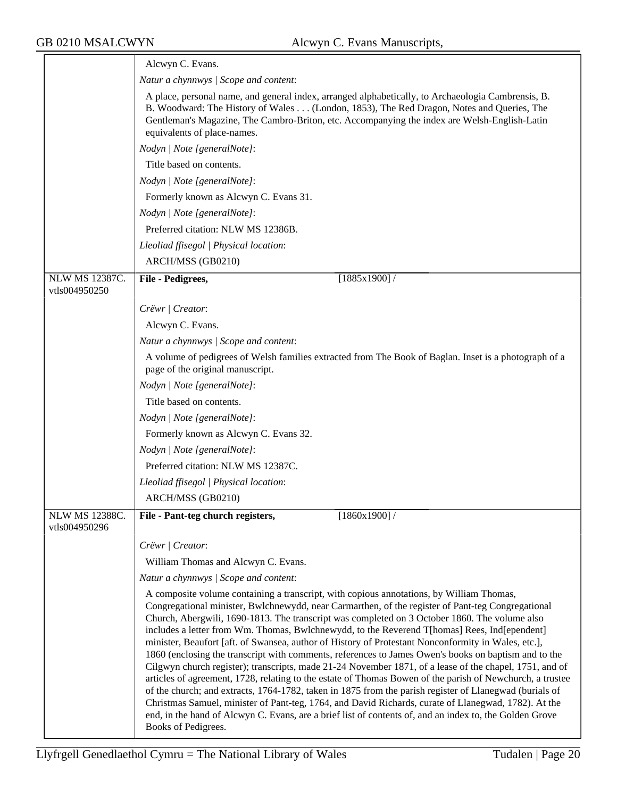|                                 | Alcwyn C. Evans.                                                                                                                                                                                                                                                                                                                                                                                                                                                                                                                                                                                                                                                                                                                                                                                                                                                                                                                                                                                                                                                                                                                                                                           |
|---------------------------------|--------------------------------------------------------------------------------------------------------------------------------------------------------------------------------------------------------------------------------------------------------------------------------------------------------------------------------------------------------------------------------------------------------------------------------------------------------------------------------------------------------------------------------------------------------------------------------------------------------------------------------------------------------------------------------------------------------------------------------------------------------------------------------------------------------------------------------------------------------------------------------------------------------------------------------------------------------------------------------------------------------------------------------------------------------------------------------------------------------------------------------------------------------------------------------------------|
|                                 | Natur a chynnwys / Scope and content:                                                                                                                                                                                                                                                                                                                                                                                                                                                                                                                                                                                                                                                                                                                                                                                                                                                                                                                                                                                                                                                                                                                                                      |
|                                 | A place, personal name, and general index, arranged alphabetically, to Archaeologia Cambrensis, B.<br>B. Woodward: The History of Wales (London, 1853), The Red Dragon, Notes and Queries, The<br>Gentleman's Magazine, The Cambro-Briton, etc. Accompanying the index are Welsh-English-Latin<br>equivalents of place-names.                                                                                                                                                                                                                                                                                                                                                                                                                                                                                                                                                                                                                                                                                                                                                                                                                                                              |
|                                 | Nodyn   Note [generalNote]:                                                                                                                                                                                                                                                                                                                                                                                                                                                                                                                                                                                                                                                                                                                                                                                                                                                                                                                                                                                                                                                                                                                                                                |
|                                 | Title based on contents.                                                                                                                                                                                                                                                                                                                                                                                                                                                                                                                                                                                                                                                                                                                                                                                                                                                                                                                                                                                                                                                                                                                                                                   |
|                                 | Nodyn   Note [generalNote]:                                                                                                                                                                                                                                                                                                                                                                                                                                                                                                                                                                                                                                                                                                                                                                                                                                                                                                                                                                                                                                                                                                                                                                |
|                                 | Formerly known as Alcwyn C. Evans 31.                                                                                                                                                                                                                                                                                                                                                                                                                                                                                                                                                                                                                                                                                                                                                                                                                                                                                                                                                                                                                                                                                                                                                      |
|                                 | Nodyn   Note [generalNote]:                                                                                                                                                                                                                                                                                                                                                                                                                                                                                                                                                                                                                                                                                                                                                                                                                                                                                                                                                                                                                                                                                                                                                                |
|                                 | Preferred citation: NLW MS 12386B.                                                                                                                                                                                                                                                                                                                                                                                                                                                                                                                                                                                                                                                                                                                                                                                                                                                                                                                                                                                                                                                                                                                                                         |
|                                 | Lleoliad ffisegol   Physical location:                                                                                                                                                                                                                                                                                                                                                                                                                                                                                                                                                                                                                                                                                                                                                                                                                                                                                                                                                                                                                                                                                                                                                     |
|                                 | ARCH/MSS (GB0210)                                                                                                                                                                                                                                                                                                                                                                                                                                                                                                                                                                                                                                                                                                                                                                                                                                                                                                                                                                                                                                                                                                                                                                          |
| <b>NLW MS 12387C.</b>           | File - Pedigrees,<br>[1885x1900]                                                                                                                                                                                                                                                                                                                                                                                                                                                                                                                                                                                                                                                                                                                                                                                                                                                                                                                                                                                                                                                                                                                                                           |
| vtls004950250                   |                                                                                                                                                                                                                                                                                                                                                                                                                                                                                                                                                                                                                                                                                                                                                                                                                                                                                                                                                                                                                                                                                                                                                                                            |
|                                 | Crëwr   Creator:                                                                                                                                                                                                                                                                                                                                                                                                                                                                                                                                                                                                                                                                                                                                                                                                                                                                                                                                                                                                                                                                                                                                                                           |
|                                 | Alcwyn C. Evans.                                                                                                                                                                                                                                                                                                                                                                                                                                                                                                                                                                                                                                                                                                                                                                                                                                                                                                                                                                                                                                                                                                                                                                           |
|                                 | Natur a chynnwys / Scope and content:                                                                                                                                                                                                                                                                                                                                                                                                                                                                                                                                                                                                                                                                                                                                                                                                                                                                                                                                                                                                                                                                                                                                                      |
|                                 | A volume of pedigrees of Welsh families extracted from The Book of Baglan. Inset is a photograph of a<br>page of the original manuscript.                                                                                                                                                                                                                                                                                                                                                                                                                                                                                                                                                                                                                                                                                                                                                                                                                                                                                                                                                                                                                                                  |
|                                 | Nodyn   Note [generalNote]:                                                                                                                                                                                                                                                                                                                                                                                                                                                                                                                                                                                                                                                                                                                                                                                                                                                                                                                                                                                                                                                                                                                                                                |
|                                 | Title based on contents.                                                                                                                                                                                                                                                                                                                                                                                                                                                                                                                                                                                                                                                                                                                                                                                                                                                                                                                                                                                                                                                                                                                                                                   |
|                                 | Nodyn   Note [generalNote]:                                                                                                                                                                                                                                                                                                                                                                                                                                                                                                                                                                                                                                                                                                                                                                                                                                                                                                                                                                                                                                                                                                                                                                |
|                                 | Formerly known as Alcwyn C. Evans 32.                                                                                                                                                                                                                                                                                                                                                                                                                                                                                                                                                                                                                                                                                                                                                                                                                                                                                                                                                                                                                                                                                                                                                      |
|                                 | Nodyn   Note [generalNote]:                                                                                                                                                                                                                                                                                                                                                                                                                                                                                                                                                                                                                                                                                                                                                                                                                                                                                                                                                                                                                                                                                                                                                                |
|                                 | Preferred citation: NLW MS 12387C.                                                                                                                                                                                                                                                                                                                                                                                                                                                                                                                                                                                                                                                                                                                                                                                                                                                                                                                                                                                                                                                                                                                                                         |
|                                 | Lleoliad ffisegol   Physical location:                                                                                                                                                                                                                                                                                                                                                                                                                                                                                                                                                                                                                                                                                                                                                                                                                                                                                                                                                                                                                                                                                                                                                     |
|                                 | ARCH/MSS (GB0210)                                                                                                                                                                                                                                                                                                                                                                                                                                                                                                                                                                                                                                                                                                                                                                                                                                                                                                                                                                                                                                                                                                                                                                          |
| NLW MS 12388C.<br>vtls004950296 | File - Pant-teg church registers,<br>$[1860x1900]$ /                                                                                                                                                                                                                                                                                                                                                                                                                                                                                                                                                                                                                                                                                                                                                                                                                                                                                                                                                                                                                                                                                                                                       |
|                                 | Crëwr   Creator:                                                                                                                                                                                                                                                                                                                                                                                                                                                                                                                                                                                                                                                                                                                                                                                                                                                                                                                                                                                                                                                                                                                                                                           |
|                                 | William Thomas and Alcwyn C. Evans.                                                                                                                                                                                                                                                                                                                                                                                                                                                                                                                                                                                                                                                                                                                                                                                                                                                                                                                                                                                                                                                                                                                                                        |
|                                 | Natur a chynnwys / Scope and content:                                                                                                                                                                                                                                                                                                                                                                                                                                                                                                                                                                                                                                                                                                                                                                                                                                                                                                                                                                                                                                                                                                                                                      |
|                                 | A composite volume containing a transcript, with copious annotations, by William Thomas,<br>Congregational minister, Bwlchnewydd, near Carmarthen, of the register of Pant-teg Congregational<br>Church, Abergwili, 1690-1813. The transcript was completed on 3 October 1860. The volume also<br>includes a letter from Wm. Thomas, Bwlchnewydd, to the Reverend T[homas] Rees, Ind[ependent]<br>minister, Beaufort [aft. of Swansea, author of History of Protestant Nonconformity in Wales, etc.],<br>1860 (enclosing the transcript with comments, references to James Owen's books on baptism and to the<br>Cilgwyn church register); transcripts, made 21-24 November 1871, of a lease of the chapel, 1751, and of<br>articles of agreement, 1728, relating to the estate of Thomas Bowen of the parish of Newchurch, a trustee<br>of the church; and extracts, 1764-1782, taken in 1875 from the parish register of Llanegwad (burials of<br>Christmas Samuel, minister of Pant-teg, 1764, and David Richards, curate of Llanegwad, 1782). At the<br>end, in the hand of Alcwyn C. Evans, are a brief list of contents of, and an index to, the Golden Grove<br>Books of Pedigrees. |